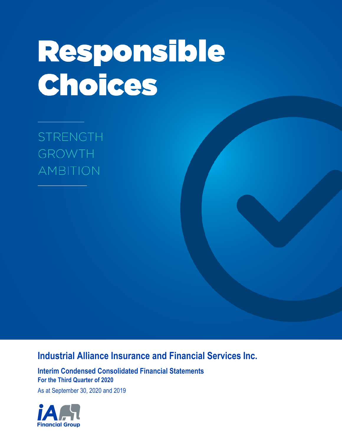# Responsible Choices

**STRENGTH GROWTH AMBITION** 

# **Industrial Alliance Insurance and Financial Services Inc.**

**Interim Condensed Consolidated Financial Statements For the Third Quarter of 2020**

As at September 30, 2020 and 2019

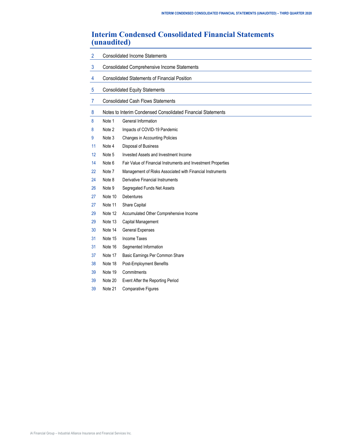# **Interim Condensed Consolidated Financial Statements (unaudited)**

| $\overline{2}$ |         | <b>Consolidated Income Statements</b>                         |  |  |  |  |
|----------------|---------|---------------------------------------------------------------|--|--|--|--|
| 3              |         | <b>Consolidated Comprehensive Income Statements</b>           |  |  |  |  |
| $\overline{4}$ |         | <b>Consolidated Statements of Financial Position</b>          |  |  |  |  |
| $\overline{5}$ |         | <b>Consolidated Equity Statements</b>                         |  |  |  |  |
| $\overline{7}$ |         | <b>Consolidated Cash Flows Statements</b>                     |  |  |  |  |
| 8              |         | Notes to Interim Condensed Consolidated Financial Statements  |  |  |  |  |
| 8              | Note 1  | General Information                                           |  |  |  |  |
| 8              | Note 2  | Impacts of COVID-19 Pandemic                                  |  |  |  |  |
| 9              | Note 3  | Changes in Accounting Policies                                |  |  |  |  |
| 11             | Note 4  | Disposal of Business                                          |  |  |  |  |
| 12             | Note 5  | Invested Assets and Investment Income                         |  |  |  |  |
| 14             | Note 6  | Fair Value of Financial Instruments and Investment Properties |  |  |  |  |
| 22             | Note 7  | Management of Risks Associated with Financial Instruments     |  |  |  |  |
| 24             | Note 8  | <b>Derivative Financial Instruments</b>                       |  |  |  |  |
| 26             | Note 9  | Segregated Funds Net Assets                                   |  |  |  |  |
| 27             | Note 10 | <b>Debentures</b>                                             |  |  |  |  |
| 27             | Note 11 | Share Capital                                                 |  |  |  |  |
| 29             | Note 12 | Accumulated Other Comprehensive Income                        |  |  |  |  |
| 29             | Note 13 | Capital Management                                            |  |  |  |  |
| 30             | Note 14 | <b>General Expenses</b>                                       |  |  |  |  |
| 31             | Note 15 | Income Taxes                                                  |  |  |  |  |
| 31             | Note 16 | Segmented Information                                         |  |  |  |  |
| 37             | Note 17 | Basic Earnings Per Common Share                               |  |  |  |  |
| 38             | Note 18 | Post-Employment Benefits                                      |  |  |  |  |
| 39             | Note 19 | Commitments                                                   |  |  |  |  |
| 39             | Note 20 | Event After the Reporting Period                              |  |  |  |  |
| 39             | Note 21 | <b>Comparative Figures</b>                                    |  |  |  |  |
|                |         |                                                               |  |  |  |  |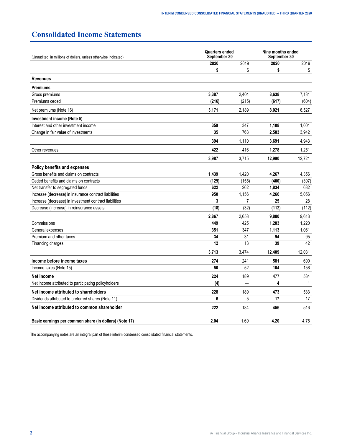# <span id="page-3-0"></span>**Consolidated Income Statements**

| (Unaudited, in millions of dollars, unless otherwise indicated) |       | <b>Quarters ended</b><br>September 30 |        | Nine months ended<br>September 30 |  |  |
|-----------------------------------------------------------------|-------|---------------------------------------|--------|-----------------------------------|--|--|
|                                                                 | 2020  | 2019                                  | 2020   | 2019                              |  |  |
|                                                                 | \$    | \$                                    | \$     | \$                                |  |  |
| <b>Revenues</b>                                                 |       |                                       |        |                                   |  |  |
| <b>Premiums</b>                                                 |       |                                       |        |                                   |  |  |
| Gross premiums                                                  | 3,387 | 2.404                                 | 8.638  | 7.131                             |  |  |
| Premiums ceded                                                  | (216) | (215)                                 | (617)  | (604)                             |  |  |
| Net premiums (Note 16)                                          | 3,171 | 2,189                                 | 8,021  | 6,527                             |  |  |
| Investment income (Note 5)                                      |       |                                       |        |                                   |  |  |
| Interest and other investment income                            | 359   | 347                                   | 1,108  | 1,001                             |  |  |
| Change in fair value of investments                             | 35    | 763                                   | 2,583  | 3,942                             |  |  |
|                                                                 | 394   | 1.110                                 | 3,691  | 4,943                             |  |  |
| Other revenues                                                  | 422   | 416                                   | 1,278  | 1,251                             |  |  |
|                                                                 | 3,987 | 3,715                                 | 12,990 | 12,721                            |  |  |
| Policy benefits and expenses                                    |       |                                       |        |                                   |  |  |
| Gross benefits and claims on contracts                          | 1,439 | 1,420                                 | 4,267  | 4,356                             |  |  |
| Ceded benefits and claims on contracts                          | (129) | (155)                                 | (400)  | (397)                             |  |  |
| Net transfer to segregated funds                                | 622   | 262                                   | 1,834  | 682                               |  |  |
| Increase (decrease) in insurance contract liabilities           | 950   | 1,156                                 | 4,266  | 5,056                             |  |  |
| Increase (decrease) in investment contract liabilities          | 3     | 7                                     | 25     | 28                                |  |  |
| Decrease (increase) in reinsurance assets                       | (18)  | (32)                                  | (112)  | (112)                             |  |  |
|                                                                 | 2,867 | 2,658                                 | 9.880  | 9.613                             |  |  |
| Commissions                                                     | 449   | 425                                   | 1,283  | 1,220                             |  |  |
| General expenses                                                | 351   | 347                                   | 1,113  | 1,061                             |  |  |
| Premium and other taxes                                         | 34    | 31                                    | 94     | 95                                |  |  |
| Financing charges                                               | 12    | 13                                    | 39     | 42                                |  |  |
|                                                                 | 3,713 | 3,474                                 | 12,409 | 12,031                            |  |  |
| Income before income taxes                                      | 274   | 241                                   | 581    | 690                               |  |  |
| Income taxes (Note 15)                                          | 50    | 52                                    | 104    | 156                               |  |  |
| Net income                                                      | 224   | 189                                   | 477    | 534                               |  |  |
| Net income attributed to participating policyholders            | (4)   |                                       | 4      | $\mathbf{1}$                      |  |  |
| Net income attributed to shareholders                           | 228   | 189                                   | 473    | 533                               |  |  |
| Dividends attributed to preferred shares (Note 11)              | 6     | 5                                     | 17     | 17                                |  |  |
| Net income attributed to common shareholder                     | 222   | 184                                   | 456    | 516                               |  |  |
| Basic earnings per common share (in dollars) (Note 17)          | 2.04  | 1.69                                  | 4.20   | 4.75                              |  |  |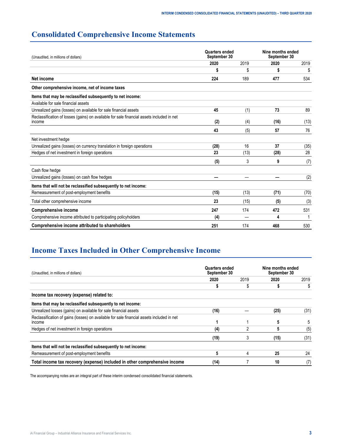# <span id="page-4-0"></span>**Consolidated Comprehensive Income Statements**

| (Unaudited, in millions of dollars)                                                                 | Quarters ended<br>September 30 |      | Nine months ended<br>September 30 |      |  |
|-----------------------------------------------------------------------------------------------------|--------------------------------|------|-----------------------------------|------|--|
|                                                                                                     | 2020                           | 2019 | 2020                              | 2019 |  |
|                                                                                                     |                                | \$   |                                   | \$   |  |
| Net income                                                                                          | 224                            | 189  | 477                               | 534  |  |
| Other comprehensive income, net of income taxes                                                     |                                |      |                                   |      |  |
| Items that may be reclassified subsequently to net income:                                          |                                |      |                                   |      |  |
| Available for sale financial assets                                                                 |                                |      |                                   |      |  |
| Unrealized gains (losses) on available for sale financial assets                                    | 45                             | (1)  | 73                                | 89   |  |
| Reclassification of losses (gains) on available for sale financial assets included in net<br>income | (2)                            | (4)  | (16)                              | (13) |  |
|                                                                                                     | 43                             | (5)  | 57                                | 76   |  |
| Net investment hedge                                                                                |                                |      |                                   |      |  |
| Unrealized gains (losses) on currency translation in foreign operations                             | (28)                           | 16   | 37                                | (35) |  |
| Hedges of net investment in foreign operations                                                      | 23                             | (13) | (28)                              | 28   |  |
|                                                                                                     | (5)                            | 3    | 9                                 | (7)  |  |
| Cash flow hedge                                                                                     |                                |      |                                   |      |  |
| Unrealized gains (losses) on cash flow hedges                                                       |                                |      |                                   | (2)  |  |
| Items that will not be reclassified subsequently to net income:                                     |                                |      |                                   |      |  |
| Remeasurement of post-employment benefits                                                           | (15)                           | (13) | (71)                              | (70) |  |
| Total other comprehensive income                                                                    | 23                             | (15) | (5)                               | (3)  |  |
| <b>Comprehensive income</b>                                                                         | 247                            | 174  | 472                               | 531  |  |
| Comprehensive income attributed to participating policyholders                                      | (4)                            |      | 4                                 |      |  |
| Comprehensive income attributed to shareholders                                                     | 251                            | 174  | 468                               | 530  |  |

# **Income Taxes Included in Other Comprehensive Income**

| (Unaudited, in millions of dollars)                                                                        | <b>Quarters ended</b><br>September 30 |      | Nine months ended<br>September 30 |      |
|------------------------------------------------------------------------------------------------------------|---------------------------------------|------|-----------------------------------|------|
|                                                                                                            | 2020                                  | 2019 | 2020                              | 2019 |
|                                                                                                            |                                       | \$   |                                   |      |
| Income tax recovery (expense) related to:                                                                  |                                       |      |                                   |      |
| Items that may be reclassified subsequently to net income:                                                 |                                       |      |                                   |      |
| Unrealized losses (gains) on available for sale financial assets                                           | (16)                                  |      | (25)                              | (31) |
| Reclassification of gains (losses) on available for sale financial assets included in net<br><b>Income</b> |                                       |      |                                   |      |
| Hedges of net investment in foreign operations                                                             | (4)                                   | 2    | 5                                 | (5)  |
|                                                                                                            | (19)                                  | 3    | (15)                              | (31) |
| Items that will not be reclassified subsequently to net income:                                            |                                       |      |                                   |      |
| Remeasurement of post-employment benefits                                                                  | 5                                     | 4    | 25                                | 24   |
| Total income tax recovery (expense) included in other comprehensive income                                 | (14)                                  |      | 10                                | (7)  |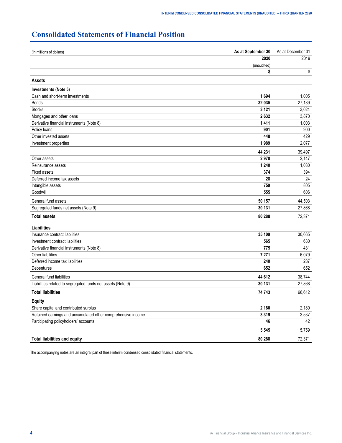# <span id="page-5-0"></span>**Consolidated Statements of Financial Position**

| (In millions of dollars)                                     | As at September 30 | As at December 31 |
|--------------------------------------------------------------|--------------------|-------------------|
|                                                              | 2020               | 2019              |
|                                                              | (unaudited)        |                   |
|                                                              | \$                 | \$                |
| Assets                                                       |                    |                   |
| Investments (Note 5)                                         |                    |                   |
| Cash and short-term investments                              | 1,694              | 1,005             |
| <b>Bonds</b>                                                 | 32,035             | 27,189            |
| <b>Stocks</b>                                                | 3,121              | 3,024             |
| Mortgages and other loans                                    | 2,632              | 3,870             |
| Derivative financial instruments (Note 8)                    | 1,411              | 1,003             |
| Policy loans                                                 | 901                | 900               |
| Other invested assets                                        | 448                | 429               |
| Investment properties                                        | 1,989              | 2,077             |
|                                                              | 44,231             | 39,497            |
| Other assets                                                 | 2,970              | 2,147             |
| Reinsurance assets                                           | 1,240              | 1,030             |
| <b>Fixed assets</b>                                          | 374                | 394               |
| Deferred income tax assets                                   | 28                 | 24                |
| Intangible assets                                            | 759                | 805               |
| Goodwill                                                     | 555                | 606               |
| General fund assets                                          | 50,157             | 44,503            |
| Segregated funds net assets (Note 9)                         | 30,131             | 27,868            |
| <b>Total assets</b>                                          | 80,288             | 72,371            |
| Liabilities                                                  |                    |                   |
| Insurance contract liabilities                               | 35,109             | 30,665            |
| Investment contract liabilities                              | 565                | 630               |
| Derivative financial instruments (Note 8)                    | 775                | 431               |
| Other liabilities                                            | 7,271              | 6,079             |
| Deferred income tax liabilities                              | 240                | 287               |
| Debentures                                                   | 652                | 652               |
| General fund liabilities                                     | 44,612             | 38,744            |
| Liabilities related to segregated funds net assets (Note 9)  | 30,131             | 27,868            |
| <b>Total liabilities</b>                                     | 74,743             | 66,612            |
| <b>Equity</b>                                                |                    |                   |
| Share capital and contributed surplus                        | 2,180              | 2,180             |
| Retained earnings and accumulated other comprehensive income | 3,319              | 3,537             |
| Participating policyholders' accounts                        | 46                 | 42                |
|                                                              | 5,545              | 5,759             |
| <b>Total liabilities and equity</b>                          | 80,288             | 72,371            |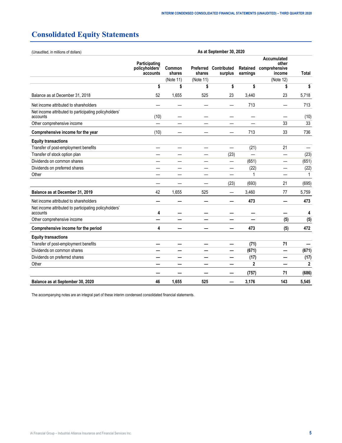# <span id="page-6-0"></span>**Consolidated Equity Statements**

| (Unaudited, in millions of dollars)                               | As at September 30, 2020                    |                  |           |                                  |                      |                                                 |              |  |  |
|-------------------------------------------------------------------|---------------------------------------------|------------------|-----------|----------------------------------|----------------------|-------------------------------------------------|--------------|--|--|
|                                                                   | Participating<br>policyholders'<br>accounts | Common<br>shares | shares    | Preferred Contributed<br>surplus | Retained<br>earnings | Accumulated<br>other<br>comprehensive<br>income | Total        |  |  |
|                                                                   |                                             | (Note 11)        | (Note 11) |                                  |                      | (Note 12)                                       |              |  |  |
|                                                                   | \$                                          | \$               | \$        | \$                               | \$                   | \$                                              | \$           |  |  |
| Balance as at December 31, 2018                                   | 52                                          | 1,655            | 525       | 23                               | 3,440                | 23                                              | 5,718        |  |  |
| Net income attributed to shareholders                             |                                             |                  |           | —                                | 713                  |                                                 | 713          |  |  |
| Net income attributed to participating policyholders'<br>accounts | (10)                                        |                  |           |                                  |                      |                                                 | (10)         |  |  |
| Other comprehensive income                                        |                                             |                  |           |                                  |                      | 33                                              | 33           |  |  |
| Comprehensive income for the year                                 | (10)                                        |                  |           |                                  | 713                  | 33                                              | 736          |  |  |
| <b>Equity transactions</b>                                        |                                             |                  |           |                                  |                      |                                                 |              |  |  |
| Transfer of post-employment benefits                              |                                             |                  |           |                                  | (21)                 | 21                                              |              |  |  |
| Transfer of stock option plan                                     |                                             |                  |           | (23)                             | $\equiv$             | —                                               | (23)         |  |  |
| Dividends on common shares                                        |                                             |                  |           |                                  | (651)                |                                                 | (651)        |  |  |
| Dividends on preferred shares                                     |                                             |                  |           |                                  | (22)                 |                                                 | (22)         |  |  |
| Other                                                             |                                             |                  |           |                                  | 1                    |                                                 | 1            |  |  |
|                                                                   |                                             |                  |           | (23)                             | (693)                | 21                                              | (695)        |  |  |
| Balance as at December 31, 2019                                   | 42                                          | 1,655            | 525       | —                                | 3,460                | 77                                              | 5,759        |  |  |
| Net income attributed to shareholders                             |                                             |                  |           |                                  | 473                  |                                                 | 473          |  |  |
| Net income attributed to participating policyholders'<br>accounts | 4                                           |                  |           |                                  |                      |                                                 | 4            |  |  |
| Other comprehensive income                                        |                                             |                  |           |                                  |                      | (5)                                             | (5)          |  |  |
| Comprehensive income for the period                               | 4                                           |                  |           |                                  | 473                  | (5)                                             | 472          |  |  |
| <b>Equity transactions</b>                                        |                                             |                  |           |                                  |                      |                                                 |              |  |  |
| Transfer of post-employment benefits                              |                                             |                  |           |                                  | (71)                 | 71                                              |              |  |  |
| Dividends on common shares                                        |                                             |                  |           |                                  | (671)                |                                                 | (671)        |  |  |
| Dividends on preferred shares                                     |                                             |                  |           |                                  | (17)                 |                                                 | (17)         |  |  |
| Other                                                             |                                             |                  |           |                                  | $\overline{2}$       |                                                 | $\mathbf{2}$ |  |  |
|                                                                   |                                             |                  |           |                                  | (757)                | 71                                              | (686)        |  |  |
| Balance as at September 30, 2020                                  | 46                                          | 1,655            | 525       |                                  | 3,176                | 143                                             | 5,545        |  |  |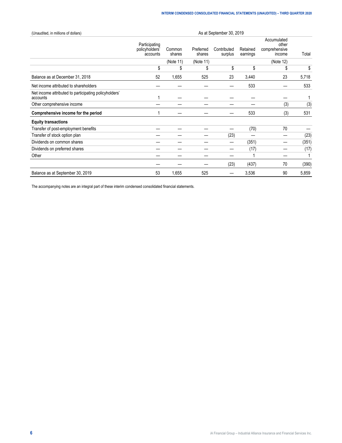| (Unaudited, in millions of dollars)                               | As at September 30, 2019                    |                  |                     |                        |                      |                                                 |       |  |  |
|-------------------------------------------------------------------|---------------------------------------------|------------------|---------------------|------------------------|----------------------|-------------------------------------------------|-------|--|--|
|                                                                   | Participating<br>policyholders'<br>accounts | Common<br>shares | Preferred<br>shares | Contributed<br>surplus | Retained<br>earnings | Accumulated<br>other<br>comprehensive<br>income | Total |  |  |
|                                                                   |                                             | (Note 11)        | (Note 11)           |                        |                      | (Note 12)                                       |       |  |  |
|                                                                   | \$                                          | \$               | S                   | \$                     | \$                   | S                                               | \$    |  |  |
| Balance as at December 31, 2018                                   | 52                                          | 1,655            | 525                 | 23                     | 3,440                | 23                                              | 5,718 |  |  |
| Net income attributed to shareholders                             |                                             |                  |                     |                        | 533                  |                                                 | 533   |  |  |
| Net income attributed to participating policyholders'<br>accounts |                                             |                  |                     |                        |                      |                                                 |       |  |  |
| Other comprehensive income                                        |                                             |                  |                     |                        |                      | (3)                                             | (3)   |  |  |
| Comprehensive income for the period                               |                                             |                  |                     |                        | 533                  | (3)                                             | 531   |  |  |
| <b>Equity transactions</b>                                        |                                             |                  |                     |                        |                      |                                                 |       |  |  |
| Transfer of post-employment benefits                              |                                             |                  |                     | –                      | (70)                 | 70                                              |       |  |  |
| Transfer of stock option plan                                     |                                             |                  |                     | (23)                   |                      |                                                 | (23)  |  |  |
| Dividends on common shares                                        |                                             |                  |                     |                        | (351)                |                                                 | (351) |  |  |
| Dividends on preferred shares                                     |                                             |                  |                     |                        | (17)                 |                                                 | (17)  |  |  |
| Other                                                             |                                             |                  |                     |                        |                      |                                                 |       |  |  |
|                                                                   |                                             |                  |                     | (23)                   | (437)                | 70                                              | (390) |  |  |
| Balance as at September 30, 2019                                  | 53                                          | 1,655            | 525                 |                        | 3,536                | 90                                              | 5,859 |  |  |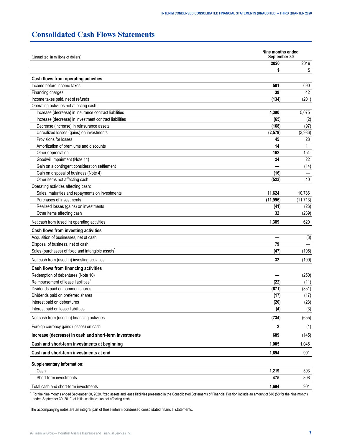# <span id="page-8-0"></span>**Consolidated Cash Flows Statements**

| Nine months ended<br>September 30<br>(Unaudited, in millions of dollars) |          |           |
|--------------------------------------------------------------------------|----------|-----------|
|                                                                          | 2020     | 2019      |
|                                                                          | \$       | \$        |
| Cash flows from operating activities                                     |          |           |
| Income before income taxes                                               | 581      | 690       |
| Financing charges                                                        | 39       | 42        |
| Income taxes paid, net of refunds                                        | (134)    | (201)     |
| Operating activities not affecting cash:                                 |          |           |
| Increase (decrease) in insurance contract liabilities                    | 4,390    | 5,075     |
| Increase (decrease) in investment contract liabilities                   | (65)     | (2)       |
| Decrease (increase) in reinsurance assets                                | (168)    | (97)      |
| Unrealized losses (gains) on investments                                 | (2,579)  | (3,936)   |
| Provisions for losses                                                    | 45       | 28        |
| Amortization of premiums and discounts                                   | 14       | 11        |
| Other depreciation                                                       | 162      | 154       |
| Goodwill impairment (Note 14)                                            | 24       | 22        |
| Gain on a contingent consideration settlement                            |          | (14)      |
| Gain on disposal of business (Note 4)                                    | (16)     |           |
| Other items not affecting cash                                           | (523)    | 40        |
| Operating activities affecting cash:                                     |          |           |
| Sales, maturities and repayments on investments                          | 11,624   | 10,786    |
| Purchases of investments                                                 | (11,996) | (11, 713) |
| Realized losses (gains) on investments                                   | (41)     | (26)      |
| Other items affecting cash                                               | 32       | (239)     |
| Net cash from (used in) operating activities                             | 1,389    | 620       |
| Cash flows from investing activities                                     |          |           |
| Acquisition of businesses, net of cash                                   |          | (3)       |
| Disposal of business, net of cash                                        | 79       |           |
| Sales (purchases) of fixed and intangible assets <sup>1</sup>            | (47)     | (106)     |
| Net cash from (used in) investing activities                             | 32       | (109)     |
| Cash flows from financing activities                                     |          |           |
| Redemption of debentures (Note 10)                                       |          | (250)     |
| Reimbursement of lease liabilities <sup>1</sup>                          | (22)     | (11)      |
| Dividends paid on common shares                                          | (671)    | (351)     |
| Dividends paid on preferred shares                                       | (17)     | (17)      |
| Interest paid on debentures                                              | (20)     | (23)      |
| Interest paid on lease liabilities                                       | (4)      | (3)       |
| Net cash from (used in) financing activities                             | (734)    | (655)     |
| Foreign currency gains (losses) on cash                                  | 2        | (1)       |
| Increase (decrease) in cash and short-term investments                   | 689      | (145)     |
| Cash and short-term investments at beginning                             | 1,005    | 1,046     |
| Cash and short-term investments at end                                   | 1,694    | 901       |
| Supplementary information:                                               |          |           |
| Cash                                                                     | 1,219    | 593       |
| Short-term investments                                                   | 475      | 308       |
| Total cash and short-term investments                                    | 1,694    | 901       |

<sup>1</sup> For the nine months ended September 30, 2020, fixed assets and lease liabilities presented in the Consolidated Statements of Financial Position include an amount of \$18 (\$8 for the nine months ended September 30, 2019) of initial capitalization not affecting cash.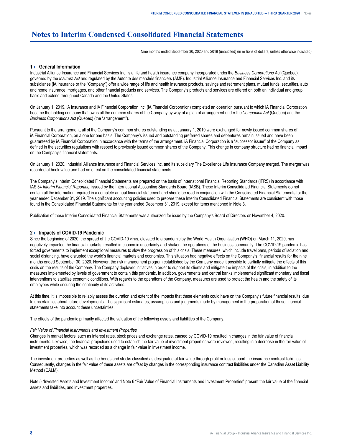# <span id="page-9-0"></span>**Notes to Interim Condensed Consolidated Financial Statements**

Nine months ended September 30, 2020 and 2019 (unaudited) (in millions of dollars, unless otherwise indicated)

## **1 › General Information**

Industrial Alliance Insurance and Financial Services Inc. is a life and health insurance company incorporated under the *Business Corporations Act* (Quebec), governed by the *Insurers Act* and regulated by the Autorité des marchés financiers (AMF). Industrial Alliance Insurance and Financial Services Inc. and its subsidiaries (iA Insurance or the "Company") offer a wide range of life and health insurance products, savings and retirement plans, mutual funds, securities, auto and home insurance, mortgages, and other financial products and services. The Company's products and services are offered on both an individual and group basis and extend throughout Canada and the United States.

On January 1, 2019, iA Insurance and iA Financial Corporation Inc. (iA Financial Corporation) completed an operation pursuant to which iA Financial Corporation became the holding company that owns all the common shares of the Company by way of a plan of arrangement under the *Companies Act* (Quebec) and the *Business Corporations Act* (Quebec) (the "arrangement").

Pursuant to the arrangement, all of the Company's common shares outstanding as at January 1, 2019 were exchanged for newly issued common shares of iA Financial Corporation, on a one for one basis. The Company's issued and outstanding preferred shares and debentures remain issued and have been guaranteed by iA Financial Corporation in accordance with the terms of the arrangement. iA Financial Corporation is a "successor issuer" of the Company as defined in the securities regulations with respect to previously issued common shares of the Company. This change in company structure had no financial impact on the Company's financial statements.

On January 1, 2020, Industrial Alliance Insurance and Financial Services Inc. and its subsidiary The Excellence Life Insurance Company merged. The merger was recorded at book value and had no effect on the consolidated financial statements.

The Company's Interim Consolidated Financial Statements are prepared on the basis of International Financial Reporting Standards (IFRS) in accordance with IAS 34 *Interim Financial Reporting*, issued by the International Accounting Standards Board (IASB). These Interim Consolidated Financial Statements do not contain all the information required in a complete annual financial statement and should be read in conjunction with the Consolidated Financial Statements for the year ended December 31, 2019. The significant accounting policies used to prepare these Interim Consolidated Financial Statements are consistent with those found in the Consolidated Financial Statements for the year ended December 31, 2019, except for items mentioned in Note 3.

Publication of these Interim Consolidated Financial Statements was authorized for issue by the Company's Board of Directors on November 4, 2020.

#### **2 › Impacts of COVID-19 Pandemic**

Since the beginning of 2020, the spread of the COVID-19 virus, elevated to a pandemic by the World Health Organization (WHO) on March 11, 2020, has negatively impacted the financial markets, resulted in economic uncertainty and shaken the operations of the business community. The COVID-19 pandemic has forced governments to implement exceptional measures to slow the progression of this crisis. These measures, which include travel bans, periods of isolation and social distancing, have disrupted the world's financial markets and economies. This situation had negative effects on the Company's financial results for the nine months ended September 30, 2020. However, the risk management program established by the Company made it possible to partially mitigate the effects of this crisis on the results of the Company. The Company deployed initiatives in order to support its clients and mitigate the impacts of the crisis, in addition to the measures implemented by levels of government to contain this pandemic. In addition, governments and central banks implemented significant monetary and fiscal interventions to stabilize economic conditions. With regards to the operations of the Company, measures are used to protect the health and the safety of its employees while ensuring the continuity of its activities.

At this time, it is impossible to reliably assess the duration and extent of the impacts that these elements could have on the Company's future financial results, due to uncertainties about future developments. The significant estimates, assumptions and judgments made by management in the preparation of these financial statements take into account these uncertainties.

The effects of the pandemic primarily affected the valuation of the following assets and liabilities of the Company:

#### *Fair Value of Financial Instruments and Investment Properties*

Changes in market factors, such as interest rates, stock prices and exchange rates, caused by COVID-19 resulted in changes in the fair value of financial instruments. Likewise, the financial projections used to establish the fair value of investment properties were reviewed, resulting in a decrease in the fair value of investment properties, which was recorded as a change in fair value in investment income.

The investment properties as well as the bonds and stocks classified as designated at fair value through profit or loss support the insurance contract liabilities. Consequently, changes in the fair value of these assets are offset by changes in the corresponding insurance contract liabilities under the Canadian Asset Liability Method (CALM).

Note 5 "Invested Assets and Investment Income" and Note 6 "Fair Value of Financial Instruments and Investment Properties" present the fair value of the financial assets and liabilities, and investment properties.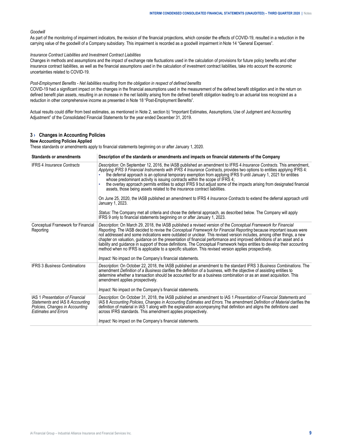#### <span id="page-10-0"></span>*Goodwill*

As part of the monitoring of impairment indicators, the revision of the financial projections, which consider the effects of COVID-19, resulted in a reduction in the carrying value of the goodwill of a Company subsidiary. This impairment is recorded as a goodwill impairment in Note 14 "General Expenses".

#### *Insurance Contract Liabilities and Investment Contract Liabilities*

Changes in methods and assumptions and the impact of exchange rate fluctuations used in the calculation of provisions for future policy benefits and other insurance contract liabilities, as well as the financial assumptions used in the calculation of investment contract liabilities, take into account the economic uncertainties related to COVID-19.

*Post-Employment Benefits - Net liabilities resulting from the obligation in respect of defined benefits*

COVID-19 had a significant impact on the changes in the financial assumptions used in the measurement of the defined benefit obligation and in the return on defined benefit plan assets, resulting in an increase in the net liability arising from the defined benefit obligation leading to an actuarial loss recognized as a reduction in other comprehensive income as presented in Note 18 "Post-Employment Benefits".

Actual results could differ from best estimates, as mentioned in Note 2, section b) "Important Estimates, Assumptions, Use of Judgment and Accounting Adjustment" of the Consolidated Financial Statements for the year ended December 31, 2019.

## **3 › Changes in Accounting Policies**

#### **New Accounting Policies Applied**

These standards or amendments apply to financial statements beginning on or after January 1, 2020.

| <b>Standards or amendments</b>                                                                                                              | Description of the standards or amendments and impacts on financial statements of the Company                                                                                                                                                                                                                                                                                                                                                                                                                                                                                                                                                                                                                                                                                                                                                                                                                                                                                                           |
|---------------------------------------------------------------------------------------------------------------------------------------------|---------------------------------------------------------------------------------------------------------------------------------------------------------------------------------------------------------------------------------------------------------------------------------------------------------------------------------------------------------------------------------------------------------------------------------------------------------------------------------------------------------------------------------------------------------------------------------------------------------------------------------------------------------------------------------------------------------------------------------------------------------------------------------------------------------------------------------------------------------------------------------------------------------------------------------------------------------------------------------------------------------|
| <b>IFRS 4 Insurance Contracts</b>                                                                                                           | Description: On September 12, 2016, the IASB published an amendment to IFRS 4 Insurance Contracts. This amendment,<br>Applying IFRS 9 Financial Instruments with IFRS 4 Insurance Contracts, provides two options to entities applying IFRS 4:<br>the deferral approach is an optional temporary exemption from applying IFRS 9 until January 1, 2021 for entities<br>whose predominant activity is issuing contracts within the scope of IFRS 4;<br>the overlay approach permits entities to adopt IFRS 9 but adjust some of the impacts arising from designated financial<br>assets, those being assets related to the insurance contract liabilities.<br>On June 25, 2020, the IASB published an amendment to IFRS 4 Insurance Contracts to extend the deferral approach until<br>January 1, 2023.<br>Status: The Company met all criteria and chose the deferral approach, as described below. The Company will apply<br>IFRS 9 only to financial statements beginning on or after January 1, 2023. |
|                                                                                                                                             |                                                                                                                                                                                                                                                                                                                                                                                                                                                                                                                                                                                                                                                                                                                                                                                                                                                                                                                                                                                                         |
| Conceptual Framework for Financial<br>Reporting                                                                                             | Description: On March 29, 2018, the IASB published a revised version of the Conceptual Framework for Financial<br>Reporting. The IASB decided to revise the Conceptual Framework for Financial Reporting because important issues were<br>not addressed and some indications were outdated or unclear. This revised version includes, among other things, a new<br>chapter on valuation, guidance on the presentation of financial performance and improved definitions of an asset and a<br>liability and guidance in support of those definitions. The Conceptual Framework helps entities to develop their accounting<br>method when no IFRS is applicable to a specific situation. This revised version applies prospectively.<br><i>Impact:</i> No impact on the Company's financial statements.                                                                                                                                                                                                   |
| <b>IFRS 3 Business Combinations</b>                                                                                                         | Description: On October 22, 2018, the IASB published an amendment to the standard IFRS 3 Business Combinations. The<br>amendment Definition of a Business clarifies the definition of a business, with the objective of assisting entities to<br>determine whether a transaction should be accounted for as a business combination or as an asset acquisition. This<br>amendment applies prospectively.<br><i>Impact:</i> No impact on the Company's financial statements.                                                                                                                                                                                                                                                                                                                                                                                                                                                                                                                              |
| <b>IAS 1 Presentation of Financial</b><br>Statements and IAS 8 Accounting<br>Policies, Changes in Accounting<br><b>Estimates and Errors</b> | Description: On October 31, 2018, the IASB published an amendment to IAS 1 Presentation of Financial Statements and<br>IAS 8 Accounting Policies, Changes in Accounting Estimates and Errors. The amendment Definition of Material clarifies the<br>definition of material in IAS 1 along with the explanation accompanying that definition and aligns the definitions used<br>across IFRS standards. This amendment applies prospectively.                                                                                                                                                                                                                                                                                                                                                                                                                                                                                                                                                             |
|                                                                                                                                             | <i>Impact:</i> No impact on the Company's financial statements.                                                                                                                                                                                                                                                                                                                                                                                                                                                                                                                                                                                                                                                                                                                                                                                                                                                                                                                                         |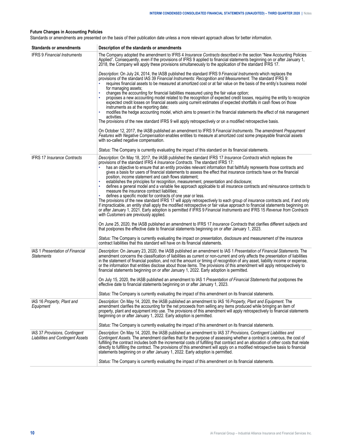# **Future Changes in Accounting Policies**

Standards or amendments are presented on the basis of their publication date unless a more relevant approach allows for better information.

| <b>Standards or amendments</b>                                            | Description of the standards or amendments                                                                                                                                                                                                                                                                                                                                                                                                                                                                                                                                                                           |
|---------------------------------------------------------------------------|----------------------------------------------------------------------------------------------------------------------------------------------------------------------------------------------------------------------------------------------------------------------------------------------------------------------------------------------------------------------------------------------------------------------------------------------------------------------------------------------------------------------------------------------------------------------------------------------------------------------|
| <b>IFRS 9 Financial Instruments</b>                                       | The Company adopted the amendment to IFRS 4 Insurance Contracts described in the section "New Accounting Policies<br>Applied". Consequently, even if the provisions of IFRS 9 applied to financial statements beginning on or after January 1,<br>2018, the Company will apply these provisions simultaneously to the application of the standard IFRS 17.                                                                                                                                                                                                                                                           |
|                                                                           | Description: On July 24, 2014, the IASB published the standard IFRS 9 Financial Instruments which replaces the<br>provisions of the standard IAS 39 Financial Instruments: Recognition and Measurement. The standard IFRS 9:<br>requires financial assets to be measured at amortized cost or at fair value on the basis of the entity's business model<br>for managing assets;                                                                                                                                                                                                                                      |
|                                                                           | changes the accounting for financial liabilities measured using the fair value option;<br>proposes a new accounting model related to the recognition of expected credit losses, requiring the entity to recognize<br>expected credit losses on financial assets using current estimates of expected shortfalls in cash flows on those<br>instruments as at the reporting date;<br>modifies the hedge accounting model, which aims to present in the financial statements the effect of risk management                                                                                                               |
|                                                                           | activities.<br>The provisions of the new standard IFRS 9 will apply retrospectively or on a modified retrospective basis.                                                                                                                                                                                                                                                                                                                                                                                                                                                                                            |
|                                                                           | On October 12, 2017, the IASB published an amendment to IFRS 9 Financial Instruments. The amendment Prepayment<br>Features with Negative Compensation enables entities to measure at amortized cost some prepayable financial assets<br>with so-called negative compensation.                                                                                                                                                                                                                                                                                                                                        |
|                                                                           | Status: The Company is currently evaluating the impact of this standard on its financial statements.                                                                                                                                                                                                                                                                                                                                                                                                                                                                                                                 |
| <b>IFRS 17 Insurance Contracts</b>                                        | Description: On May 18, 2017, the IASB published the standard IFRS 17 Insurance Contracts which replaces the<br>provisions of the standard IFRS 4 <i>Insurance Contracts</i> . The standard IFRS 17:<br>has an objective to ensure that an entity provides relevant information that faithfully represents those contracts and                                                                                                                                                                                                                                                                                       |
|                                                                           | gives a basis for users of financial statements to assess the effect that insurance contracts have on the financial<br>position, income statement and cash flows statement;                                                                                                                                                                                                                                                                                                                                                                                                                                          |
|                                                                           | establishes the principles for recognition, measurement, presentation and disclosure;<br>defines a general model and a variable fee approach applicable to all insurance contracts and reinsurance contracts to<br>measure the insurance contract liabilities;                                                                                                                                                                                                                                                                                                                                                       |
|                                                                           | defines a specific model for contracts of one year or less.<br>The provisions of the new standard IFRS 17 will apply retrospectively to each group of insurance contracts and, if and only<br>if impracticable, an entity shall apply the modified retrospective or fair value approach to financial statements beginning on<br>or after January 1, 2021. Early adoption is permitted if IFRS 9 Financial Instruments and IFRS 15 Revenue from Contracts<br>with Customers are previously applied.                                                                                                                   |
|                                                                           | On June 25, 2020, the IASB published an amendment to IFRS 17 <i>Insurance Contracts</i> that clarifies different subjects and<br>that postpones the effective date to financial statements beginning on or after January 1, 2023.                                                                                                                                                                                                                                                                                                                                                                                    |
|                                                                           | Status: The Company is currently evaluating the impact on presentation, disclosure and measurement of the insurance<br>contract liabilities that this standard will have on its financial statements.                                                                                                                                                                                                                                                                                                                                                                                                                |
| <b>IAS 1 Presentation of Financial</b><br><b>Statements</b>               | Description: On January 23, 2020, the IASB published an amendment to IAS 1 Presentation of Financial Statements. The<br>amendment concerns the classification of liabilities as current or non-current and only affects the presentation of liabilities<br>in the statement of financial position, and not the amount or timing of recognition of any asset, liability income or expense,<br>or the information that entities disclose about those items. The provisions of this amendment will apply retrospectively to<br>financial statements beginning on or after January 1, 2022. Early adoption is permitted. |
|                                                                           | On July 15, 2020, the IASB published an amendment to IAS 1 Presentation of Financial Statements that postpones the<br>effective date to financial statements beginning on or after January 1, 2023.                                                                                                                                                                                                                                                                                                                                                                                                                  |
|                                                                           | Status: The Company is currently evaluating the impact of this amendment on its financial statements.                                                                                                                                                                                                                                                                                                                                                                                                                                                                                                                |
| IAS 16 Property, Plant and<br>Equipment                                   | Description: On May 14, 2020, the IASB published an amendment to IAS 16 Property, Plant and Equipment. The<br>amendment clarifies the accounting for the net proceeds from selling any items produced while bringing an item of<br>property, plant and equipment into use. The provisions of this amendment will apply retrospectively to financial statements<br>beginning on or after January 1, 2022. Early adoption is permitted.                                                                                                                                                                                |
|                                                                           | Status: The Company is currently evaluating the impact of this amendment on its financial statements.                                                                                                                                                                                                                                                                                                                                                                                                                                                                                                                |
| IAS 37 Provisions, Contingent<br><b>Liabilities and Contingent Assets</b> | Description: On May 14, 2020, the IASB published an amendment to IAS 37 Provisions, Contingent Liabilities and<br>Contingent Assets. The amendment clarifies that for the purpose of assessing whether a contract is onerous, the cost of<br>fulfilling the contract includes both the incremental costs of fulfilling that contract and an allocation of other costs that relate<br>directly to fulfilling the contract. The provisions of this amendment will apply on a modified retrospective basis to financial<br>statements beginning on or after January 1, 2022. Early adoption is permitted.               |
|                                                                           | Status: The Company is currently evaluating the impact of this amendment on its financial statements.                                                                                                                                                                                                                                                                                                                                                                                                                                                                                                                |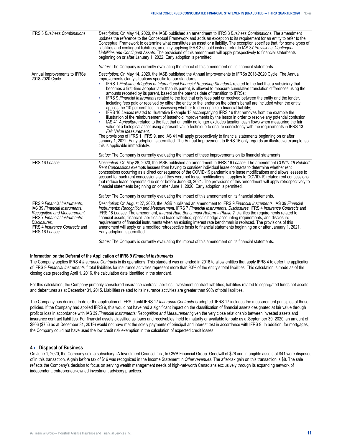<span id="page-12-0"></span>

| <b>IFRS 3 Business Combinations</b>                                                                                                                                                                                             | Description: On May 14, 2020, the IASB published an amendment to IFRS 3 Business Combinations. The amendment<br>updates the reference to the Conceptual Framework and adds an exception to its requirement for an entity to refer to the<br>Conceptual Framework to determine what constitutes an asset or a liability. The exception specifies that, for some types of<br>liabilities and contingent liabilities, an entity applying IFRS 3 should instead refer to IAS 37 Provisions, Contingent<br>Liabilities and Contingent Assets. The provisions of this amendment will apply prospectively to financial statements<br>beginning on or after January 1, 2022. Early adoption is permitted.<br>Status: The Company is currently evaluating the impact of this amendment on its financial statements.                                                                                                                                                                                                                                                                                                                                                                                                                                                                                                                                                                                                                                                                                                                                                                                                                                                             |
|---------------------------------------------------------------------------------------------------------------------------------------------------------------------------------------------------------------------------------|------------------------------------------------------------------------------------------------------------------------------------------------------------------------------------------------------------------------------------------------------------------------------------------------------------------------------------------------------------------------------------------------------------------------------------------------------------------------------------------------------------------------------------------------------------------------------------------------------------------------------------------------------------------------------------------------------------------------------------------------------------------------------------------------------------------------------------------------------------------------------------------------------------------------------------------------------------------------------------------------------------------------------------------------------------------------------------------------------------------------------------------------------------------------------------------------------------------------------------------------------------------------------------------------------------------------------------------------------------------------------------------------------------------------------------------------------------------------------------------------------------------------------------------------------------------------------------------------------------------------------------------------------------------------|
| Annual Improvements to IFRSs<br>2018-2020 Cycle                                                                                                                                                                                 | Description: On May 14, 2020, the IASB published the Annual Improvements to IFRSs 2018-2020 Cycle. The Annual<br>Improvements clarify situations specific to four standards:<br>IFRS 1 First-time Adoption of International Financial Reporting Standards related to the fact that a subsidiary that<br>becomes a first-time adopter later than its parent, is allowed to measure cumulative translation differences using the<br>amounts reported by its parent, based on the parent's date of transition to IFRSs;<br>IFRS 9 Financial Instruments related to the fact that only fees paid or received between the entity and the lender,<br>including fees paid or received by either the entity or the lender on the other's behalf are included when the entity<br>applies the '10 per cent' test in assessing whether to derecognize a financial liability;<br>IFRS 16 Leases related to Illustrative Example 13 accompanying IFRS 16 that removes from the example the<br>illustration of the reimbursement of leasehold improvements by the lessor in order to resolve any potential confusion;<br>IAS 41 Agriculture related to the fact that an entity no longer excludes taxation cash flows when measuring the fair<br>value of a biological asset using a present value technique to ensure consistency with the requirements in IFRS 13<br>Fair Value Measurement.<br>The provisions of IFRS 1, IFRS 9, and IAS 41 will apply prospectively to financial statements beginning on or after<br>January 1, 2022. Early adoption is permitted. The Annual Improvement to IFRS 16 only regards an illustrative example, so<br>this is applicable immediately. |
|                                                                                                                                                                                                                                 | Status: The Company is currently evaluating the impact of these improvements on its financial statements.                                                                                                                                                                                                                                                                                                                                                                                                                                                                                                                                                                                                                                                                                                                                                                                                                                                                                                                                                                                                                                                                                                                                                                                                                                                                                                                                                                                                                                                                                                                                                              |
| <b>IFRS 16 Leases</b>                                                                                                                                                                                                           | Description: On May 28, 2020, the IASB published an amendment to IFRS 16 Leases. The amendment COVID-19 Related<br>Rent Concessions exempts lessees from having to consider individual lease contracts to determine whether rent<br>concessions occurring as a direct consequence of the COVID-19 pandemic are lease modifications and allows lessees to<br>account for such rent concessions as if they were not lease modifications. It applies to COVID-19 related rent concessions<br>that reduce lease payments due on or before June 30, 2021. The provisions of this amendment will apply retrospectively to<br>financial statements beginning on or after June 1, 2020. Early adoption is permitted.<br>Status: The Company is currently evaluating the impact of this amendment on its financial statements.                                                                                                                                                                                                                                                                                                                                                                                                                                                                                                                                                                                                                                                                                                                                                                                                                                                  |
| <b>IFRS 9 Financial Instruments.</b><br>IAS 39 Financial Instruments:<br>Recognition and Measurement,<br><b>IFRS 7 Financial Instruments:</b><br>Disclosures.<br><b>IFRS 4 Insurance Contracts and</b><br><b>IFRS 16 Leases</b> | Description: On August 27, 2020, the IASB published an amendment to IFRS 9 Financial Instruments, IAS 39 Financial<br>Instruments: Recognition and Measurement, IFRS 7 Financial Instruments: Disclosures, IFRS 4 Insurance Contracts and<br>IFRS 16 Leases. The amendment, Interest Rate Benchmark Reform – Phase 2, clarifies the requirements related to<br>financial assets, financial liabilities and lease liabilities, specific hedge accounting requirements, and disclosure<br>requirements of financial instruments when an existing interest rate benchmark is replaced. The provisions of this<br>amendment will apply on a modified retrospective basis to financial statements beginning on or after January 1, 2021.<br>Early adoption is permitted.                                                                                                                                                                                                                                                                                                                                                                                                                                                                                                                                                                                                                                                                                                                                                                                                                                                                                                    |
|                                                                                                                                                                                                                                 | Status: The Company is currently evaluating the impact of this amendment on its financial statements.                                                                                                                                                                                                                                                                                                                                                                                                                                                                                                                                                                                                                                                                                                                                                                                                                                                                                                                                                                                                                                                                                                                                                                                                                                                                                                                                                                                                                                                                                                                                                                  |

#### **Information on the Deferral of the Application of IFRS 9** *Financial Instruments*

The Company applies IFRS 4 *Insurance Contracts* in its operations. This standard was amended in 2016 to allow entities that apply IFRS 4 to defer the application of IFRS 9 *Financial Instruments* if total liabilities for insurance activities represent more than 90% of the entity's total liabilities. This calculation is made as of the closing date preceding April 1, 2016, the calculation date identified in the standard.

For this calculation, the Company primarily considered insurance contract liabilities, investment contract liabilities, liabilities related to segregated funds net assets and debentures as at December 31, 2015. Liabilities related to its insurance activities are greater than 90% of total liabilities.

The Company has decided to defer the application of IFRS 9 until IFRS 17 *Insurance Contracts* is adopted. IFRS 17 includes the measurement principles of these policies. If the Company had applied IFRS 9, this would not have had a significant impact on the classification of financial assets designated at fair value through profit or loss in accordance with IAS 39 *Financial Instruments: Recognition and Measurement* given the very close relationship between invested assets and insurance contract liabilities. For financial assets classified as loans and receivables, held to maturity or available for sale as at September 30, 2020, an amount of \$806 (\$756 as at December 31, 2019) would not have met the solely payments of principal and interest test in accordance with IFRS 9. In addition, for mortgages, the Company could not have used the low credit risk exemption in the calculation of expected credit losses.

## **4 › Disposal of Business**

On June 1, 2020, the Company sold a subsidiary, iA Investment Counsel Inc., to CWB Financial Group. Goodwill of \$26 and intangible assets of \$41 were disposed of in this transaction. A gain before tax of \$16 was recognized in the Income Statement in *Other revenues*. The after-tax gain on this transaction is \$8. The sale reflects the Company's decision to focus on serving wealth management needs of high-net-worth Canadians exclusively through its expanding network of independent, entrepreneur-owned investment advisory practices.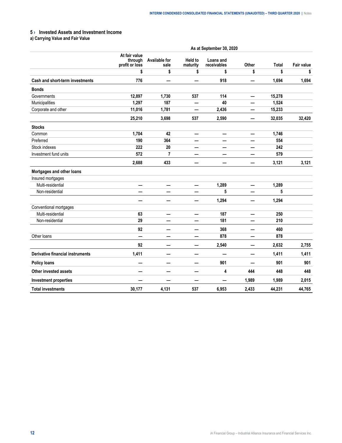# <span id="page-13-0"></span>**5 › Invested Assets and Investment Income**

**a) Carrying Value and Fair Value**

|                                         | As at September 30, 2020                   |                              |                            |                          |       |        |                   |  |  |
|-----------------------------------------|--------------------------------------------|------------------------------|----------------------------|--------------------------|-------|--------|-------------------|--|--|
|                                         | At fair value<br>through<br>profit or loss | <b>Available for</b><br>sale | <b>Held to</b><br>maturity | Loans and<br>receivables | Other | Total  | <b>Fair value</b> |  |  |
|                                         | \$                                         | \$                           | \$                         | \$                       | \$    | \$     | \$                |  |  |
| Cash and short-term investments         | 776                                        |                              |                            | 918                      | —     | 1,694  | 1,694             |  |  |
| <b>Bonds</b>                            |                                            |                              |                            |                          |       |        |                   |  |  |
| Governments                             | 12,897                                     | 1,730                        | 537                        | 114                      | —     | 15,278 |                   |  |  |
| Municipalities                          | 1,297                                      | 187                          | —                          | 40                       | —     | 1,524  |                   |  |  |
| Corporate and other                     | 11,016                                     | 1,781                        | —                          | 2,436                    |       | 15,233 |                   |  |  |
|                                         | 25,210                                     | 3,698                        | 537                        | 2,590                    |       | 32,035 | 32,420            |  |  |
| <b>Stocks</b>                           |                                            |                              |                            |                          |       |        |                   |  |  |
| Common                                  | 1,704                                      | 42                           |                            |                          |       | 1,746  |                   |  |  |
| Preferred                               | 190                                        | 364                          |                            |                          |       | 554    |                   |  |  |
| Stock indexes                           | 222                                        | 20                           |                            |                          |       | 242    |                   |  |  |
| Investment fund units                   | 572                                        | $\overline{7}$               |                            | —                        |       | 579    |                   |  |  |
|                                         | 2,688                                      | 433                          |                            |                          |       | 3,121  | 3,121             |  |  |
| Mortgages and other loans               |                                            |                              |                            |                          |       |        |                   |  |  |
| Insured mortgages                       |                                            |                              |                            |                          |       |        |                   |  |  |
| Multi-residential                       | —                                          | —                            | —                          | 1,289                    | —     | 1,289  |                   |  |  |
| Non-residential                         |                                            |                              |                            | 5                        |       | 5      |                   |  |  |
|                                         | —                                          | —                            | —                          | 1,294                    | —     | 1,294  |                   |  |  |
| Conventional mortgages                  |                                            |                              |                            |                          |       |        |                   |  |  |
| Multi-residential                       | 63                                         | —                            | $\overline{\phantom{0}}$   | 187                      | —     | 250    |                   |  |  |
| Non-residential                         | 29                                         | —                            | —                          | 181                      | —     | 210    |                   |  |  |
|                                         | 92                                         |                              |                            | 368                      |       | 460    |                   |  |  |
| Other loans                             | a.                                         | -                            |                            | 878                      |       | 878    |                   |  |  |
|                                         | 92                                         | –                            | –                          | 2,540                    |       | 2,632  | 2,755             |  |  |
| <b>Derivative financial instruments</b> | 1,411                                      | -                            | –                          | $\overline{\phantom{0}}$ | —     | 1,411  | 1,411             |  |  |
| <b>Policy loans</b>                     |                                            | -                            | —<br>——                    | 901                      |       | 901    | 901               |  |  |
| <b>Other invested assets</b>            |                                            |                              |                            | 4                        | 444   | 448    | 448               |  |  |
| <b>Investment properties</b>            |                                            |                              | –                          |                          | 1,989 | 1,989  | 2,015             |  |  |
| <b>Total investments</b>                | 30,177                                     | 4,131                        | 537                        | 6,953                    | 2,433 | 44,231 | 44,765            |  |  |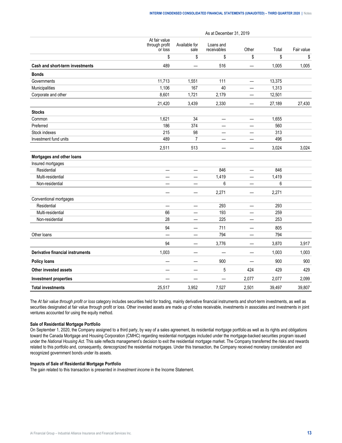As at December 31, 2019

|                                         | At fair value<br>through profit<br>or loss | Available for<br>sale    | Loans and<br>receivables | Other                    | Total  | Fair value |
|-----------------------------------------|--------------------------------------------|--------------------------|--------------------------|--------------------------|--------|------------|
|                                         | \$                                         | \$                       | \$                       | \$                       | \$     | \$         |
| <b>Cash and short-term investments</b>  | 489                                        |                          | 516                      |                          | 1,005  | 1,005      |
| <b>Bonds</b>                            |                                            |                          |                          |                          |        |            |
| Governments                             | 11,713                                     | 1,551                    | 111                      | $\overline{\phantom{0}}$ | 13,375 |            |
| Municipalities                          | 1,106                                      | 167                      | 40                       | —                        | 1,313  |            |
| Corporate and other                     | 8,601                                      | 1,721                    | 2,179                    | —                        | 12,501 |            |
|                                         | 21,420                                     | 3,439                    | 2,330                    |                          | 27,189 | 27,430     |
| <b>Stocks</b>                           |                                            |                          |                          |                          |        |            |
| Common                                  | 1,621                                      | 34                       | $\qquad \qquad -$        | —                        | 1,655  |            |
| Preferred                               | 186                                        | 374                      | —                        | —                        | 560    |            |
| Stock indexes                           | 215                                        | 98                       | —                        | —                        | 313    |            |
| Investment fund units                   | 489                                        | 7                        | —                        |                          | 496    |            |
|                                         | 2,511                                      | 513                      |                          |                          | 3,024  | 3,024      |
| Mortgages and other loans               |                                            |                          |                          |                          |        |            |
| Insured mortgages                       |                                            |                          |                          |                          |        |            |
| Residential                             | —                                          | —                        | 846                      | $\overline{\phantom{0}}$ | 846    |            |
| Multi-residential                       |                                            | $\overline{\phantom{a}}$ | 1,419                    | $\qquad \qquad$          | 1,419  |            |
| Non-residential                         |                                            | —                        | 6                        | —                        | 6      |            |
|                                         |                                            | —                        | 2,271                    | $\overline{\phantom{0}}$ | 2,271  |            |
| Conventional mortgages                  |                                            |                          |                          |                          |        |            |
| Residential                             | $\overline{\phantom{0}}$                   | —                        | 293                      |                          | 293    |            |
| Multi-residential                       | 66                                         | $\overline{\phantom{0}}$ | 193                      | $\equiv$                 | 259    |            |
| Non-residential                         | 28                                         | —                        | 225                      | —                        | 253    |            |
|                                         | 94                                         |                          | 711                      | $\overline{\phantom{0}}$ | 805    |            |
| Other loans                             | —                                          | $\overline{\phantom{0}}$ | 794                      | $\overline{\phantom{0}}$ | 794    |            |
|                                         | 94                                         |                          | 3,776                    |                          | 3,870  | 3,917      |
| <b>Derivative financial instruments</b> | 1,003                                      | $\qquad \qquad$          | $\overline{\phantom{m}}$ | $\overline{\phantom{m}}$ | 1,003  | 1,003      |
| <b>Policy loans</b>                     |                                            |                          | 900                      | —                        | 900    | 900        |
| Other invested assets                   | —                                          | —                        | 5                        | 424                      | 429    | 429        |
| <b>Investment properties</b>            |                                            |                          |                          | 2,077                    | 2,077  | 2,099      |
| <b>Total investments</b>                | 25,517                                     | 3,952                    | 7,527                    | 2,501                    | 39,497 | 39,807     |

The *At fair value through profit or loss* category includes securities held for trading, mainly derivative financial instruments and short-term investments, as well as securities designated at fair value through profit or loss. Other invested assets are made up of notes receivable, investments in associates and investments in joint ventures accounted for using the equity method.

#### **Sale of Residential Mortgage Portfolio**

On September 1, 2020, the Company assigned to a third party, by way of a sales agreement, its residential mortgage portfolio as well as its rights and obligations toward the Canada Mortgage and Housing Corporation (CMHC) regarding residential mortgages included under the mortgage-backed securities program issued under the *National Housing Act*. This sale reflects management's decision to exit the residential mortgage market. The Company transferred the risks and rewards related to this portfolio and, consequently, derecognized the residential mortgages. Under this transaction, the Company received monetary consideration and recognized government bonds under its assets.

#### **Impacts of Sale of Residential Mortgage Portfolio**

The gain related to this transaction is presented in *Investment income* in the Income Statement.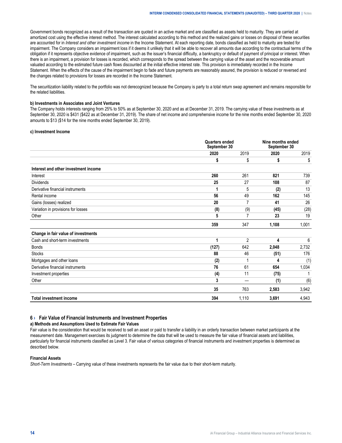<span id="page-15-0"></span>Government bonds recognized as a result of the transaction are quoted in an active market and are classified as assets held to maturity. They are carried at amortized cost using the effective interest method. The interest calculated according to this method and the realized gains or losses on disposal of these securities are accounted for in *Interest and other investment income* in the Income Statement. At each reporting date, bonds classified as held to maturity are tested for impairment. The Company considers an impairment loss if it deems it unlikely that it will be able to recover all amounts due according to the contractual terms of the obligation if it represents objective evidence of impairment, such as the issuer's financial difficulty, a bankruptcy or default of payment of principal or interest. When there is an impairment, a provision for losses is recorded, which corresponds to the spread between the carrying value of the asset and the recoverable amount valuated according to the estimated future cash flows discounted at the initial effective interest rate. This provision is immediately recorded in the Income Statement. When the effects of the cause of the impairment begin to fade and future payments are reasonably assured, the provision is reduced or reversed and the changes related to provisions for losses are recorded in the Income Statement.

The securitization liability related to the portfolio was not derecognized because the Company is party to a total return swap agreement and remains responsible for the related liabilities.

#### **b) Investments in Associates and Joint Ventures**

The Company holds interests ranging from 25% to 50% as at September 30, 2020 and as at December 31, 2019. The carrying value of these investments as at September 30, 2020 is \$431 (\$422 as at December 31, 2019). The share of net income and comprehensive income for the nine months ended September 30, 2020 amounts to \$13 (\$14 for the nine months ended September 30, 2019).

#### **c) Investment Income**

|                                      | <b>Quarters ended</b><br>September 30 |                | Nine months ended<br>September 30 |       |
|--------------------------------------|---------------------------------------|----------------|-----------------------------------|-------|
|                                      | 2020                                  | 2019           | 2020                              | 2019  |
|                                      | \$                                    | \$             | \$                                | \$    |
| Interest and other investment income |                                       |                |                                   |       |
| Interest                             | 260                                   | 261            | 821                               | 739   |
| <b>Dividends</b>                     | 25                                    | 27             | 108                               | 87    |
| Derivative financial instruments     | 1                                     | 5              | (2)                               | 13    |
| Rental income                        | 56                                    | 49             | 162                               | 145   |
| Gains (losses) realized              | 20                                    | 7              | 41                                | 26    |
| Variation in provisions for losses   | (8)                                   | (9)            | (45)                              | (28)  |
| Other                                | 5                                     | 7              | 23                                | 19    |
|                                      | 359                                   | 347            | 1,108                             | 1,001 |
| Change in fair value of investments  |                                       |                |                                   |       |
| Cash and short-term investments      | 1                                     | $\overline{2}$ | 4                                 | 6     |
| <b>Bonds</b>                         | (127)                                 | 642            | 2,048                             | 2,732 |
| <b>Stocks</b>                        | 88                                    | 46             | (51)                              | 176   |
| Mortgages and other loans            | (2)                                   |                | 4                                 | (1)   |
| Derivative financial instruments     | 76                                    | 61             | 654                               | 1,034 |
| Investment properties                | (4)                                   | 11             | (75)                              |       |
| Other                                | 3                                     |                | (1)                               | (6)   |
|                                      | 35                                    | 763            | 2,583                             | 3,942 |
| <b>Total investment income</b>       | 394                                   | 1,110          | 3,691                             | 4,943 |

#### **6 › Fair Value of Financial Instruments and Investment Properties**

#### **a) Methods and Assumptions Used to Estimate Fair Values**

Fair value is the consideration that would be received to sell an asset or paid to transfer a liability in an orderly transaction between market participants at the measurement date. Management exercises its judgment to determine the data that will be used to measure the fair value of financial assets and liabilities, particularly for financial instruments classified as Level 3. Fair value of various categories of financial instruments and investment properties is determined as described below.

#### **Financial Assets**

*Short-Term Investments –* Carrying value of these investments represents the fair value due to their short-term maturity.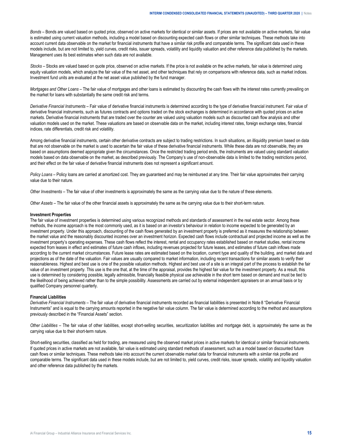*Bonds –* Bonds are valued based on quoted price, observed on active markets for identical or similar assets. If prices are not available on active markets, fair value is estimated using current valuation methods, including a model based on discounting expected cash flows or other similar techniques. These methods take into account current data observable on the market for financial instruments that have a similar risk profile and comparable terms. The significant data used in these models include, but are not limited to, yield curves, credit risks, issuer spreads, volatility and liquidity valuation and other reference data published by the markets. Management uses its best estimates when such data are not available.

*Stocks –* Stocks are valued based on quote price, observed on active markets. If the price is not available on the active markets, fair value is determined using equity valuation models, which analyze the fair value of the net asset, and other techniques that rely on comparisons with reference data, such as market indices. Investment fund units are evaluated at the net asset value published by the fund manager.

*Mortgages and Other Loans –* The fair value of mortgages and other loans is estimated by discounting the cash flows with the interest rates currently prevailing on the market for loans with substantially the same credit risk and terms.

*Derivative Financial Instruments* – Fair value of derivative financial instruments is determined according to the type of derivative financial instrument. Fair value of derivative financial instruments, such as futures contracts and options traded on the stock exchanges is determined in accordance with quoted prices on active markets. Derivative financial instruments that are traded over the counter are valued using valuation models such as discounted cash flow analysis and other valuation models used on the market. These valuations are based on observable data on the market, including interest rates, foreign exchange rates, financial indices, rate differentials, credit risk and volatility.

Among derivative financial instruments, certain other derivative contracts are subject to trading restrictions. In such situations, an illiquidity premium based on data that are not observable on the market is used to ascertain the fair value of these derivative financial instruments. While these data are not observable, they are based on assumptions deemed appropriate given the circumstances. Once the restricted trading period ends, the instruments are valued using standard valuation models based on data observable on the market, as described previously. The Company's use of non-observable data is limited to the trading restrictions period, and their effect on the fair value of derivative financial instruments does not represent a significant amount.

*Policy Loans* – Policy loans are carried at amortized cost. They are guaranteed and may be reimbursed at any time. Their fair value approximates their carrying value due to their nature.

*Other Investments –* The fair value of other investments is approximately the same as the carrying value due to the nature of these elements.

*Other Assets –* The fair value of the other financial assets is approximately the same as the carrying value due to their short-term nature.

#### **Investment Properties**

The fair value of investment properties is determined using various recognized methods and standards of assessment in the real estate sector. Among these methods, the income approach is the most commonly used, as it is based on an investor's behaviour in relation to income expected to be generated by an investment property. Under this approach, discounting of the cash flows generated by an investment property is preferred as it measures the relationship between the market value and the reasonably discounted incomes over an investment horizon. Expected cash flows include contractual and projected income as well as the investment property's operating expenses. These cash flows reflect the interest, rental and occupancy rates established based on market studies, rental income expected from leases in effect and estimates of future cash inflows, including revenues projected for future leases, and estimates of future cash inflows made according to the current market circumstances. Future lease rates are estimated based on the location, current type and quality of the building, and market data and projections as of the date of the valuation. Fair values are usually compared to market information, including recent transactions for similar assets to verify their reasonableness. Highest and best use is one of the possible valuation methods. Highest and best use of a site is an integral part of the process to establish the fair value of an investment property. This use is the one that, at the time of the appraisal, provides the highest fair value for the investment property. As a result, this use is determined by considering possible, legally admissible, financially feasible physical use achievable in the short term based on demand and must be tied to the likelihood of being achieved rather than to the simple possibility. Assessments are carried out by external independent appraisers on an annual basis or by qualified Company personnel quarterly.

#### **Financial Liabilities**

*Derivative Financial Instruments –* The fair value of derivative financial instruments recorded as financial liabilities is presented in Note 8 "Derivative Financial Instruments" and is equal to the carrying amounts reported in the negative fair value column. The fair value is determined according to the method and assumptions previously described in the "Financial Assets" section.

*Other Liabilities –* The fair value of other liabilities, except short-selling securities, securitization liabilities and mortgage debt, is approximately the same as the carrying value due to their short-term nature.

Short-selling securities, classified as held for trading, are measured using the observed market prices in active markets for identical or similar financial instruments. If quoted prices in active markets are not available, fair value is estimated using standard methods of assessment, such as a model based on discounted future cash flows or similar techniques. These methods take into account the current observable market data for financial instruments with a similar risk profile and comparable terms. The significant data used in these models include, but are not limited to, yield curves, credit risks, issuer spreads, volatility and liquidity valuation and other reference data published by the markets.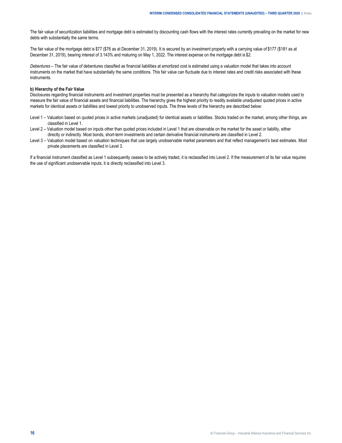The fair value of securitization liabilities and mortgage debt is estimated by discounting cash flows with the interest rates currently prevailing on the market for new debts with substantially the same terms.

The fair value of the mortgage debt is \$77 (\$76 as at December 31, 2019). It is secured by an investment property with a carrying value of \$177 (\$181 as at December 31, 2019), bearing interest of 3.143% and maturing on May 1, 2022. The interest expense on the mortgage debt is \$2.

*Debentures –* The fair value of debentures classified as financial liabilities at amortized cost is estimated using a valuation model that takes into account instruments on the market that have substantially the same conditions. This fair value can fluctuate due to interest rates and credit risks associated with these instruments.

#### **b) Hierarchy of the Fair Value**

Disclosures regarding financial instruments and investment properties must be presented as a hierarchy that categorizes the inputs to valuation models used to measure the fair value of financial assets and financial liabilities. The hierarchy gives the highest priority to readily available unadjusted quoted prices in active markets for identical assets or liabilities and lowest priority to unobserved inputs. The three levels of the hierarchy are described below:

- Level 1 Valuation based on quoted prices in active markets (unadjusted) for identical assets or liabilities. Stocks traded on the market, among other things, are classified in Level 1.
- Level 2 Valuation model based on inputs other than quoted prices included in Level 1 that are observable on the market for the asset or liability, either directly or indirectly. Most bonds, short-term investments and certain derivative financial instruments are classified in Level 2.
- Level 3 Valuation model based on valuation techniques that use largely unobservable market parameters and that reflect management's best estimates. Most private placements are classified in Level 3.

If a financial instrument classified as Level 1 subsequently ceases to be actively traded, it is reclassified into Level 2. If the measurement of its fair value requires the use of significant unobservable inputs, it is directly reclassified into Level 3.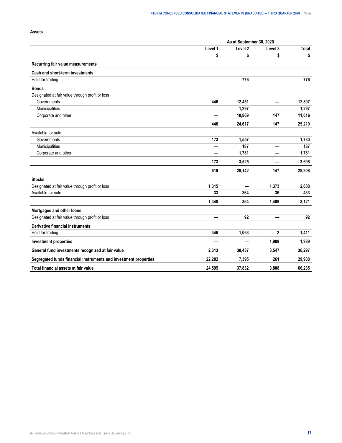## **Assets**

|                                                                  | As at September 30, 2020 |         |                |              |  |
|------------------------------------------------------------------|--------------------------|---------|----------------|--------------|--|
|                                                                  | Level 1                  | Level 2 | Level 3        | <b>Total</b> |  |
|                                                                  | \$                       | \$      | \$             | \$           |  |
| Recurring fair value measurements                                |                          |         |                |              |  |
| Cash and short-term investments                                  |                          |         |                |              |  |
| Held for trading                                                 |                          | 776     |                | 776          |  |
| <b>Bonds</b>                                                     |                          |         |                |              |  |
| Designated at fair value through profit or loss                  |                          |         |                |              |  |
| Governments                                                      | 446                      | 12,451  | —              | 12,897       |  |
| Municipalities                                                   |                          | 1,297   |                | 1,297        |  |
| Corporate and other                                              |                          | 10,869  | 147            | 11,016       |  |
|                                                                  | 446                      | 24,617  | 147            | 25,210       |  |
| Available for sale                                               |                          |         |                |              |  |
| Governments                                                      | 173                      | 1,557   | —              | 1,730        |  |
| Municipalities                                                   |                          | 187     |                | 187          |  |
| Corporate and other                                              |                          | 1,781   |                | 1,781        |  |
|                                                                  | 173                      | 3,525   |                | 3,698        |  |
|                                                                  | 619                      | 28,142  | 147            | 28,908       |  |
| <b>Stocks</b>                                                    |                          |         |                |              |  |
| Designated at fair value through profit or loss                  | 1,315                    |         | 1,373          | 2,688        |  |
| Available for sale                                               | 33                       | 364     | 36             | 433          |  |
|                                                                  | 1,348                    | 364     | 1,409          | 3,121        |  |
| Mortgages and other loans                                        |                          |         |                |              |  |
| Designated at fair value through profit or loss                  |                          | 92      |                | 92           |  |
| <b>Derivative financial instruments</b>                          |                          |         |                |              |  |
| Held for trading                                                 | 346                      | 1,063   | $\overline{2}$ | 1,411        |  |
| <b>Investment properties</b>                                     |                          |         | 1,989          | 1,989        |  |
| General fund investments recognized at fair value                | 2,313                    | 30,437  | 3,547          | 36,297       |  |
| Segregated funds financial instruments and investment properties | 22,282                   | 7,395   | 261            | 29,938       |  |
| Total financial assets at fair value                             | 24,595                   | 37,832  | 3,808          | 66,235       |  |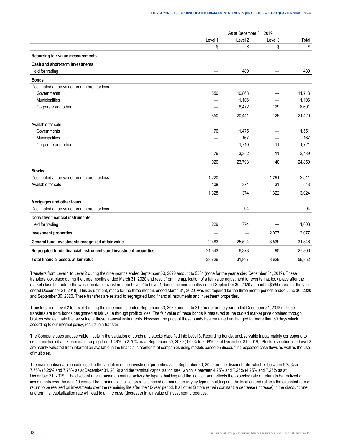|                                                                  | As at December 31, 2019 |                          |                          |        |
|------------------------------------------------------------------|-------------------------|--------------------------|--------------------------|--------|
|                                                                  | Level 1                 | Level 2                  | Level 3                  | Total  |
|                                                                  | \$                      | \$                       | \$                       | \$     |
| Recurring fair value measurements                                |                         |                          |                          |        |
| Cash and short-term investments                                  |                         |                          |                          |        |
| Held for trading                                                 |                         | 489                      |                          | 489    |
| <b>Bonds</b>                                                     |                         |                          |                          |        |
| Designated at fair value through profit or loss                  |                         |                          |                          |        |
| Governments                                                      | 850                     | 10,863                   | $\overline{\phantom{0}}$ | 11,713 |
| Municipalities                                                   |                         | 1,106                    |                          | 1,106  |
| Corporate and other                                              | ÷.                      | 8,472                    | 129                      | 8,601  |
|                                                                  | 850                     | 20,441                   | 129                      | 21,420 |
| Available for sale                                               |                         |                          |                          |        |
| Governments                                                      | 76                      | 1,475                    |                          | 1,551  |
| Municipalities                                                   | —                       | 167                      | —                        | 167    |
| Corporate and other                                              |                         | 1,710                    | 11                       | 1,721  |
|                                                                  | 76                      | 3,352                    | 11                       | 3,439  |
|                                                                  | 926                     | 23,793                   | 140                      | 24,859 |
| <b>Stocks</b>                                                    |                         |                          |                          |        |
| Designated at fair value through profit or loss                  | 1,220                   | $\overline{\phantom{0}}$ | 1,291                    | 2,511  |
| Available for sale                                               | 108                     | 374                      | 31                       | 513    |
|                                                                  | 1,328                   | 374                      | 1,322                    | 3,024  |
| Mortgages and other loans                                        |                         |                          |                          |        |
| Designated at fair value through profit or loss                  |                         | 94                       |                          | 94     |
| <b>Derivative financial instruments</b>                          |                         |                          |                          |        |
| Held for trading                                                 | 229                     | 774                      | $\overline{\phantom{0}}$ | 1,003  |
| <b>Investment properties</b>                                     |                         | —                        | 2,077                    | 2,077  |
| General fund investments recognized at fair value                | 2,483                   | 25,524                   | 3,539                    | 31,546 |
| Segregated funds financial instruments and investment properties | 21,343                  | 6,373                    | 90                       | 27,806 |
| Total financial assets at fair value                             | 23.826                  | 31.897                   | 3,629                    | 59,352 |

Transfers from Level 1 to Level 2 during the nine months ended September 30, 2020 amount to \$564 (none for the year ended December 31, 2019). These transfers took place during the three months ended March 31, 2020 and result from the application of a fair value adjustment for events that took place after the market close but before the valuation date. Transfers from Level 2 to Level 1 during the nine months ended September 30, 2020 amount to \$564 (none for the year ended December 31, 2019). This adjustment, made for the three months ended March 31, 2020, was not required for the three month periods ended June 30, 2020 and September 30, 2020. These transfers are related to segregated fund financial instruments and investment properties.

Transfers from Level 2 to Level 3 during the nine months ended September 30, 2020 amount to \$10 (none for the year ended December 31, 2019). These transfers are from bonds designated at fair value through profit or loss. The fair value of these bonds is measured at the quoted market price obtained through brokers who estimate the fair value of these financial instruments. However, the price of these bonds has remained unchanged for more than 30 days which, according to our internal policy, results in a transfer.

The Company uses unobservable inputs in the valuation of bonds and stocks classified into Level 3. Regarding bonds, unobservable inputs mainly correspond to credit and liquidity risk premiums ranging from 1.48% to 2.70% as at September 30, 2020 (1.09% to 2.68% as at December 31, 2019). Stocks classified into Level 3 are mainly valuated from information available in the financial statements of companies using models based on discounting expected cash flows as well as the use of multiples.

The main unobservable inputs used in the valuation of the investment properties as at September 30, 2020 are the discount rate, which is between 5.25% and 7.75% (5.25% and 7.75% as at December 31, 2019) and the terminal capitalization rate, which is between 4.25% and 7.25% (4.25% and 7.25% as at December 31, 2019). The discount rate is based on market activity by type of building and the location and reflects the expected rate of return to be realized on investments over the next 10 years. The terminal capitalization rate is based on market activity by type of building and the location and reflects the expected rate of return to be realized on investments over the remaining life after the 10-year period. If all other factors remain constant, a decrease (increase) in the discount rate and terminal capitalization rate will lead to an increase (decrease) in fair value of investment properties.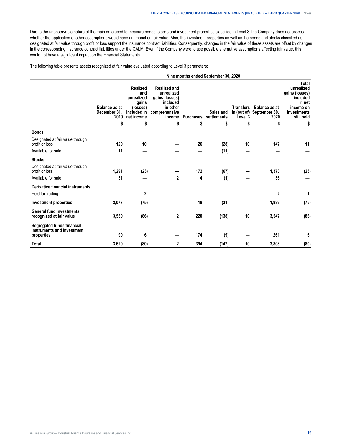Due to the unobservable nature of the main data used to measure bonds, stocks and investment properties classified in Level 3, the Company does not assess whether the application of other assumptions would have an impact on fair value. Also, the investment properties as well as the bonds and stocks classified as designated at fair value through profit or loss support the insurance contract liabilities. Consequently, changes in the fair value of these assets are offset by changes in the corresponding insurance contract liabilities under the CALM. Even if the Company were to use possible alternative assumptions affecting fair value, this would not have a significant impact on the Financial Statements.

The following table presents assets recognized at fair value evaluated according to Level 3 parameters:

|                                                                        |                                              |                                                                                        |                                                                                                        |           | Nine months ended September 30, 2020 |                             |                                                           |                                                                                                       |
|------------------------------------------------------------------------|----------------------------------------------|----------------------------------------------------------------------------------------|--------------------------------------------------------------------------------------------------------|-----------|--------------------------------------|-----------------------------|-----------------------------------------------------------|-------------------------------------------------------------------------------------------------------|
|                                                                        | <b>Balance as at</b><br>December 31,<br>2019 | <b>Realized</b><br>and<br>unrealized<br>gains<br>(losses)<br>included in<br>net income | <b>Realized and</b><br>unrealized<br>gains (losses)<br>included<br>in other<br>comprehensive<br>income | Purchases | Sales and<br>settlements             | <b>Transfers</b><br>Level 3 | <b>Balance as at</b><br>in (out of) September 30,<br>2020 | Total<br>unrealized<br>gains (losses)<br>included<br>in net<br>income on<br>investments<br>still held |
|                                                                        | \$                                           | \$                                                                                     | \$                                                                                                     | \$        | \$                                   | \$                          | \$                                                        | \$                                                                                                    |
| <b>Bonds</b>                                                           |                                              |                                                                                        |                                                                                                        |           |                                      |                             |                                                           |                                                                                                       |
| Designated at fair value through<br>profit or loss                     | 129                                          | 10                                                                                     |                                                                                                        | 26        | (28)                                 | 10                          | 147                                                       | 11                                                                                                    |
| Available for sale                                                     | 11                                           |                                                                                        |                                                                                                        |           | (11)                                 |                             |                                                           |                                                                                                       |
| <b>Stocks</b>                                                          |                                              |                                                                                        |                                                                                                        |           |                                      |                             |                                                           |                                                                                                       |
| Designated at fair value through<br>profit or loss                     | 1,291                                        | (23)                                                                                   |                                                                                                        | 172       | (67)                                 |                             | 1,373                                                     | (23)                                                                                                  |
| Available for sale                                                     | 31                                           |                                                                                        | $\mathbf{2}$                                                                                           | 4         | (1)                                  |                             | 36                                                        |                                                                                                       |
| <b>Derivative financial instruments</b>                                |                                              |                                                                                        |                                                                                                        |           |                                      |                             |                                                           |                                                                                                       |
| Held for trading                                                       |                                              | $\mathbf{2}$                                                                           |                                                                                                        |           |                                      |                             | $\mathbf{2}$                                              | 1                                                                                                     |
| Investment properties                                                  | 2,077                                        | (75)                                                                                   |                                                                                                        | 18        | (31)                                 |                             | 1,989                                                     | (75)                                                                                                  |
| <b>General fund investments</b><br>recognized at fair value            | 3,539                                        | (86)                                                                                   | 2                                                                                                      | 220       | (138)                                | 10                          | 3,547                                                     | (86)                                                                                                  |
| Segregated funds financial<br>instruments and investment<br>properties | 90                                           | 6                                                                                      |                                                                                                        | 174       | (9)                                  |                             | 261                                                       | 6                                                                                                     |
| <b>Total</b>                                                           | 3,629                                        | (80)                                                                                   | 2                                                                                                      | 394       | (147)                                | 10                          | 3,808                                                     | (80)                                                                                                  |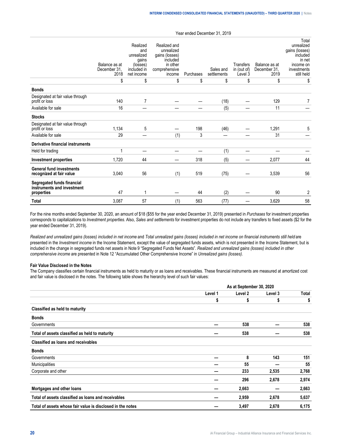|                                                                        | Balance as at<br>December 31.<br>2018 | Realized<br>and<br>unrealized<br>gains<br>(losses)<br>included in<br>net income | Realized and<br>unrealized<br>gains (losses)<br>included<br>in other<br>comprehensive<br>income | Purchases | Sales and<br>settlements | Transfers<br>in (out of)<br>Level 3 | Balance as at<br>December 31.<br>2019 | Total<br>unrealized<br>gains (losses)<br>included<br>in net<br>income on<br>investments<br>still held |
|------------------------------------------------------------------------|---------------------------------------|---------------------------------------------------------------------------------|-------------------------------------------------------------------------------------------------|-----------|--------------------------|-------------------------------------|---------------------------------------|-------------------------------------------------------------------------------------------------------|
|                                                                        | \$                                    | \$                                                                              | \$                                                                                              | \$        | \$                       | \$                                  | \$                                    | \$                                                                                                    |
| <b>Bonds</b>                                                           |                                       |                                                                                 |                                                                                                 |           |                          |                                     |                                       |                                                                                                       |
| Designated at fair value through<br>profit or loss                     | 140                                   | 7                                                                               |                                                                                                 |           | (18)                     |                                     | 129                                   | 7                                                                                                     |
| Available for sale                                                     | 16                                    |                                                                                 |                                                                                                 |           | (5)                      |                                     | 11                                    |                                                                                                       |
| <b>Stocks</b>                                                          |                                       |                                                                                 |                                                                                                 |           |                          |                                     |                                       |                                                                                                       |
| Designated at fair value through<br>profit or loss                     | 1,134                                 | 5                                                                               |                                                                                                 | 198       | (46)                     |                                     | 1,291                                 | 5                                                                                                     |
| Available for sale                                                     | 29                                    |                                                                                 | (1)                                                                                             | 3         |                          |                                     | 31                                    |                                                                                                       |
| <b>Derivative financial instruments</b>                                |                                       |                                                                                 |                                                                                                 |           |                          |                                     |                                       |                                                                                                       |
| Held for trading                                                       | 1                                     |                                                                                 |                                                                                                 |           | (1)                      |                                     |                                       |                                                                                                       |
| <b>Investment properties</b>                                           | 1,720                                 | 44                                                                              |                                                                                                 | 318       | (5)                      |                                     | 2,077                                 | 44                                                                                                    |
| <b>General fund investments</b><br>recognized at fair value            | 3,040                                 | 56                                                                              | (1)                                                                                             | 519       | (75)                     |                                     | 3,539                                 | 56                                                                                                    |
| Segregated funds financial<br>instruments and investment<br>properties | 47                                    | 1                                                                               |                                                                                                 | 44        | (2)                      |                                     | 90                                    | 2                                                                                                     |
| <b>Total</b>                                                           | 3,087                                 | 57                                                                              | (1)                                                                                             | 563       | (77)                     |                                     | 3,629                                 | 58                                                                                                    |

Year ended December 31, 2019

For the nine months ended September 30, 2020, an amount of \$18 (\$55 for the year ended December 31, 2019) presented in *Purchases* for investment properties corresponds to capitalizations to *Investment properties*. Also, *Sales and settlements* for investment properties do not include any transfers to fixed assets (\$2 for the year ended December 31, 2019).

*Realized and unrealized gains (losses) included in net income* and *Total unrealized gains (losses) included in net income on financial instruments still held* are presented in the *Investment income* in the Income Statement, except the value of segregated funds assets, which is not presented in the Income Statement, but is included in the change in segregated funds net assets in Note 9 "Segregated Funds Net Assets". *Realized and unrealized gains (losses) included in other comprehensive income* are presented in Note 12 "Accumulated Other Comprehensive Income" in *Unrealized gains (losses).*

#### **Fair Value Disclosed in the Notes**

The Company classifies certain financial instruments as held to maturity or as loans and receivables. These financial instruments are measured at amortized cost and fair value is disclosed in the notes. The following table shows the hierarchy level of such fair values:

|                                                            | As at September 30, 2020 |         |         |       |
|------------------------------------------------------------|--------------------------|---------|---------|-------|
|                                                            | Level 1                  | Level 2 | Level 3 | Total |
|                                                            | \$                       | \$      | \$      | \$    |
| Classified as held to maturity                             |                          |         |         |       |
| <b>Bonds</b>                                               |                          |         |         |       |
| Governments                                                |                          | 538     |         | 538   |
| Total of assets classified as held to maturity             |                          | 538     |         | 538   |
| <b>Classified as loans and receivables</b>                 |                          |         |         |       |
| <b>Bonds</b>                                               |                          |         |         |       |
| Governments                                                |                          | 8       | 143     | 151   |
| Municipalities                                             |                          | 55      |         | 55    |
| Corporate and other                                        |                          | 233     | 2,535   | 2,768 |
|                                                            |                          | 296     | 2,678   | 2,974 |
| Mortgages and other loans                                  |                          | 2,663   |         | 2,663 |
| Total of assets classified as loans and receivables        |                          | 2,959   | 2,678   | 5,637 |
| Total of assets whose fair value is disclosed in the notes |                          | 3,497   | 2,678   | 6,175 |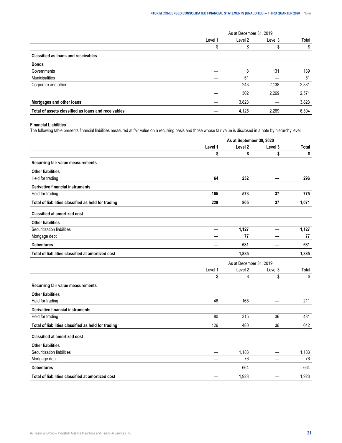|                                                     | As at December 31, 2019 |         |         |       |
|-----------------------------------------------------|-------------------------|---------|---------|-------|
|                                                     | Level 1                 | Level 2 | Level 3 | Total |
|                                                     |                         |         |         | \$    |
| <b>Classified as loans and receivables</b>          |                         |         |         |       |
| <b>Bonds</b>                                        |                         |         |         |       |
| Governments                                         |                         | х       | 131     | 139   |
| Municipalities                                      |                         | 51      |         | -51   |
| Corporate and other                                 |                         | 243     | 2.138   | 2,381 |
|                                                     |                         | 302     | 2.269   | 2.571 |
| Mortgages and other loans                           |                         | 3,823   |         | 3,823 |
| Total of assets classified as loans and receivables |                         | 4,125   | 2.269   | 6,394 |

## **Financial Liabilities**

The following table presents financial liabilities measured at fair value on a recurring basis and those whose fair value is disclosed in a note by hierarchy level:

|                                                     | As at September 30, 2020 |         |                          |              |  |  |
|-----------------------------------------------------|--------------------------|---------|--------------------------|--------------|--|--|
|                                                     | Level 1                  | Level 2 | Level 3                  | <b>Total</b> |  |  |
|                                                     | \$                       | \$      | \$                       | \$           |  |  |
| Recurring fair value measurements                   |                          |         |                          |              |  |  |
| <b>Other liabilities</b>                            |                          |         |                          |              |  |  |
| Held for trading                                    | 64                       | 232     |                          | 296          |  |  |
| <b>Derivative financial instruments</b>             |                          |         |                          |              |  |  |
| Held for trading                                    | 165                      | 573     | 37                       | 775          |  |  |
| Total of liabilities classified as held for trading | 229                      | 805     | 37                       | 1,071        |  |  |
| <b>Classified at amortized cost</b>                 |                          |         |                          |              |  |  |
| <b>Other liabilities</b>                            |                          |         |                          |              |  |  |
| Securitization liabilities                          | —                        | 1,127   | $\overline{\phantom{0}}$ | 1,127        |  |  |
| Mortgage debt                                       |                          | 77      |                          | 77           |  |  |
| <b>Debentures</b>                                   |                          | 681     |                          | 681          |  |  |
| Total of liabilities classified at amortized cost   |                          | 1,885   |                          | 1,885        |  |  |
|                                                     | As at December 31, 2019  |         |                          |              |  |  |
|                                                     | Level 1                  | Level 2 | Level 3                  | Total        |  |  |
|                                                     |                          | \$      | \$                       | \$           |  |  |
|                                                     | \$                       |         |                          |              |  |  |
| Recurring fair value measurements                   |                          |         |                          |              |  |  |
| <b>Other liabilities</b>                            |                          |         |                          |              |  |  |
| Held for trading                                    | 46                       | 165     |                          | 211          |  |  |
| <b>Derivative financial instruments</b>             |                          |         |                          |              |  |  |
| Held for trading                                    | 80                       | 315     | 36                       | 431          |  |  |
| Total of liabilities classified as held for trading | 126                      | 480     | 36                       | 642          |  |  |
| <b>Classified at amortized cost</b>                 |                          |         |                          |              |  |  |
| <b>Other liabilities</b>                            |                          |         |                          |              |  |  |
| Securitization liabilities                          |                          | 1,183   |                          | 1,183        |  |  |
| Mortgage debt                                       |                          | 76      |                          | 76           |  |  |
| <b>Debentures</b>                                   |                          | 664     |                          | 664          |  |  |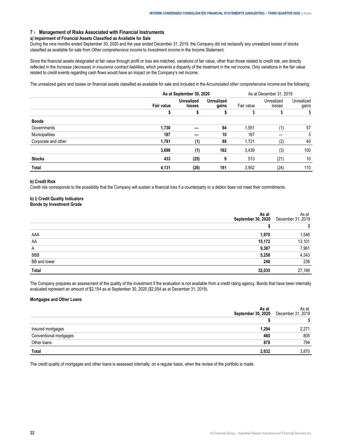## <span id="page-23-0"></span>**7 › Management of Risks Associated with Financial Instruments**

#### **a) Impairment of Financial Assets Classified as Available for Sale**

During the nine months ended September 30, 2020 and the year ended December 31, 2019, the Company did not reclassify any unrealized losses of stocks classified as available for sale from *Other comprehensive income* to *Investment income* in the Income Statement.

Since the financial assets designated at fair value through profit or loss are matched, variations of fair value, other than those related to credit risk, are directly reflected in the *Increase (decrease) in insurance contract liabilities*, which prevents a disparity of the treatment in the net income. Only variations in the fair value related to credit events regarding cash flows would have an impact on the Company's net income.

The unrealized gains and losses on financial assets classified as available for sale and included in the *Accumulated other comprehensive income* are the following:

|                       | As at September 30, 2020 |                             |                            | As at December 31, 2019 |                      |                     |
|-----------------------|--------------------------|-----------------------------|----------------------------|-------------------------|----------------------|---------------------|
|                       | <b>Fair value</b>        | <b>Unrealized</b><br>losses | <b>Unrealized</b><br>qains | Fair value              | Unrealized<br>losses | Unrealized<br>qains |
|                       |                          |                             |                            |                         |                      |                     |
| <b>Bonds</b>          |                          |                             |                            |                         |                      |                     |
| Governments           | 1.730                    |                             | 84                         | 1.551                   |                      | 57                  |
| <b>Municipalities</b> | 187                      |                             | 10                         | 167                     |                      | 3                   |
| Corporate and other   | 1.781                    | (1)                         | 88                         | 1.721                   |                      | 40                  |
|                       | 3.698                    | (1)                         | 182                        | 3.439                   | (3)                  | 100                 |
| <b>Stocks</b>         | 433                      | (25)                        |                            | 513                     | (21)                 | 10                  |
| Total                 | 4,131                    | (26)                        | 191                        | 3,952                   | (24                  | 110                 |

#### **b) Credit Risk**

Credit risk corresponds to the possibility that the Company will sustain a financial loss if a counterparty or a debtor does not meet their commitments.

# **b) i) Credit Quality Indicators**

# **Bonds by Investment Grade**

|                     | 2020   | \s at<br>2019<br>December |
|---------------------|--------|---------------------------|
|                     |        |                           |
|                     |        | 546                       |
| AΑ                  | 15.172 | 101                       |
| $\overline{A}$      |        | .961                      |
| BBE                 |        |                           |
| <b>BB</b> and lower |        | 238                       |
|                     |        | 189                       |

The Company prepares an assessment of the quality of the investment if the evaluation is not available from a credit rating agency. Bonds that have been internally evaluated represent an amount of \$2,154 as at September 30, 2020 (\$2,054 as at December 31, 2019).

#### **Mortgages and Other Loans**

|  | αι<br>2019 |
|--|------------|
|  |            |
|  |            |
|  | 805        |
|  | <br>794    |
|  |            |

The credit quality of mortgages and other loans is assessed internally, on a regular basis, when the review of the portfolio is made.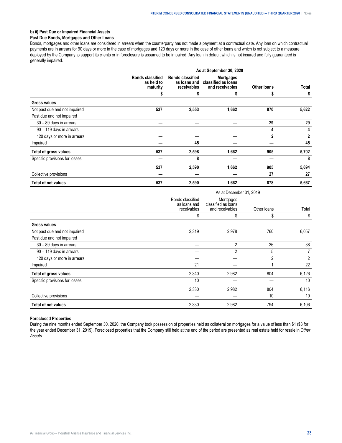# **b) ii) Past Due or Impaired Financial Assets**

# **Past Due Bonds, Mortgages and Other Loans**

Bonds, mortgages and other loans are considered in arrears when the counterparty has not made a payment at a contractual date. Any loan on which contractual payments are in arrears for 90 days or more in the case of mortgages and 120 days or more in the case of other loans and which is not subject to a measure deployed by the Company to support its clients or in foreclosure is assumed to be impaired. Any loan in default which is not insured and fully guaranteed is generally impaired.

|                                | As at September 30, 2020                          |                                                        |                                                            |                    |              |  |  |
|--------------------------------|---------------------------------------------------|--------------------------------------------------------|------------------------------------------------------------|--------------------|--------------|--|--|
|                                | <b>Bonds classified</b><br>as held to<br>maturity | <b>Bonds classified</b><br>as loans and<br>receivables | <b>Mortgages</b><br>classified as loans<br>and receivables | <b>Other loans</b> | Total        |  |  |
|                                |                                                   | \$                                                     | S                                                          | S                  | \$           |  |  |
| <b>Gross values</b>            |                                                   |                                                        |                                                            |                    |              |  |  |
| Not past due and not impaired  | 537                                               | 2,553                                                  | 1,662                                                      | 870                | 5,622        |  |  |
| Past due and not impaired      |                                                   |                                                        |                                                            |                    |              |  |  |
| 30 - 89 days in arrears        |                                                   |                                                        |                                                            | 29                 | 29           |  |  |
| 90 - 119 days in arrears       |                                                   |                                                        |                                                            | 4                  | 4            |  |  |
| 120 days or more in arrears    |                                                   |                                                        |                                                            | $\mathbf{2}$       | $\mathbf{2}$ |  |  |
| Impaired                       |                                                   | 45                                                     |                                                            |                    | 45           |  |  |
| Total of gross values          | 537                                               | 2,598                                                  | 1,662                                                      | 905                | 5,702        |  |  |
| Specific provisions for losses |                                                   | 8                                                      |                                                            |                    | 8            |  |  |
|                                | 537                                               | 2,590                                                  | 1,662                                                      | 905                | 5,694        |  |  |
| Collective provisions          |                                                   |                                                        |                                                            | 27                 | 27           |  |  |
| Total of net values            | 537                                               | 2,590                                                  | 1,662                                                      | 878                | 5,667        |  |  |

|                                | As at December 31, 2019                         |                                                     |                |       |  |
|--------------------------------|-------------------------------------------------|-----------------------------------------------------|----------------|-------|--|
|                                | Bonds classified<br>as loans and<br>receivables | Mortgages<br>classified as loans<br>and receivables | Other loans    | Total |  |
|                                | \$                                              | \$                                                  | \$             | \$    |  |
| <b>Gross values</b>            |                                                 |                                                     |                |       |  |
| Not past due and not impaired  | 2,319                                           | 2,978                                               | 760            | 6,057 |  |
| Past due and not impaired      |                                                 |                                                     |                |       |  |
| 30 - 89 days in arrears        |                                                 | 2                                                   | 36             | 38    |  |
| 90 - 119 days in arrears       |                                                 | 2                                                   | 5              | 7     |  |
| 120 days or more in arrears    |                                                 |                                                     | $\overline{2}$ | 2     |  |
| Impaired                       | 21                                              |                                                     |                | 22    |  |
| Total of gross values          | 2,340                                           | 2,982                                               | 804            | 6,126 |  |
| Specific provisions for losses | 10                                              |                                                     |                | 10    |  |
|                                | 2,330                                           | 2,982                                               | 804            | 6,116 |  |
| Collective provisions          |                                                 |                                                     | 10             | 10    |  |
| Total of net values            | 2,330                                           | 2,982                                               | 794            | 6,106 |  |

#### **Foreclosed Properties**

During the nine months ended September 30, 2020, the Company took possession of properties held as collateral on mortgages for a value of less than \$1 (\$3 for the year ended December 31, 2019). Foreclosed properties that the Company still held at the end of the period are presented as real estate held for resale in *Other Assets.*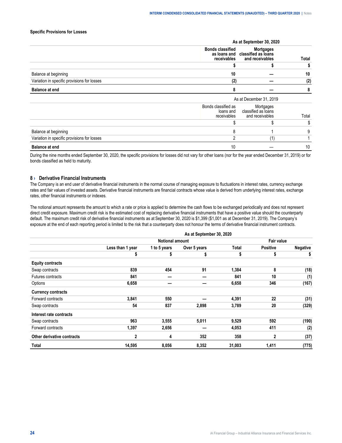#### <span id="page-25-0"></span>**Specific Provisions for Losses**

| 2019 |  |      |  |  |
|------|--|------|--|--|
| anlo |  | otal |  |  |
|      |  |      |  |  |
|      |  |      |  |  |
|      |  |      |  |  |
|      |  |      |  |  |

During the nine months ended September 30, 2020, the specific provisions for losses did not vary for other loans (nor for the year ended December 31, 2019) or for bonds classified as held to maturity.

#### **8 › Derivative Financial Instruments**

The Company is an end user of derivative financial instruments in the normal course of managing exposure to fluctuations in interest rates, currency exchange rates and fair values of invested assets. Derivative financial instruments are financial contracts whose value is derived from underlying interest rates, exchange rates, other financial instruments or indexes.

The notional amount represents the amount to which a rate or price is applied to determine the cash flows to be exchanged periodically and does not represent direct credit exposure. Maximum credit risk is the estimated cost of replacing derivative financial instruments that have a positive value should the counterparty default. The maximum credit risk of derivative financial instruments as at September 30, 2020 is \$1,399 (\$1,001 as at December 31, 2019). The Company's exposure at the end of each reporting period is limited to the risk that a counterparty does not honour the terms of derivative financial instrument contracts.

|                            | As at September 30, 2020 |                        |              |        |                 |                 |  |
|----------------------------|--------------------------|------------------------|--------------|--------|-----------------|-----------------|--|
|                            |                          | <b>Notional amount</b> |              |        | Fair value      |                 |  |
|                            | Less than 1 year         | 1 to 5 years           | Over 5 years | Total  | <b>Positive</b> | <b>Negative</b> |  |
|                            | J                        | 5                      | \$           | \$     | \$              | \$              |  |
| <b>Equity contracts</b>    |                          |                        |              |        |                 |                 |  |
| Swap contracts             | 839                      | 454                    | 91           | 1,384  | 8               | (18)            |  |
| Futures contracts          | 841                      |                        |              | 841    | 10              | (1)             |  |
| Options                    | 6,658                    |                        |              | 6,658  | 346             | (167)           |  |
| <b>Currency contracts</b>  |                          |                        |              |        |                 |                 |  |
| Forward contracts          | 3,841                    | 550                    |              | 4,391  | 22              | (31)            |  |
| Swap contracts             | 54                       | 837                    | 2,898        | 3,789  | 20              | (329)           |  |
| Interest rate contracts    |                          |                        |              |        |                 |                 |  |
| Swap contracts             | 963                      | 3,555                  | 5,011        | 9,529  | 592             | (190)           |  |
| Forward contracts          | 1,397                    | 2,656                  |              | 4,053  | 411             | (2)             |  |
| Other derivative contracts | 2                        | 4                      | 352          | 358    | $\mathbf{2}$    | (37)            |  |
| Total                      | 14,595                   | 8,056                  | 8,352        | 31,003 | 1,411           | (775)           |  |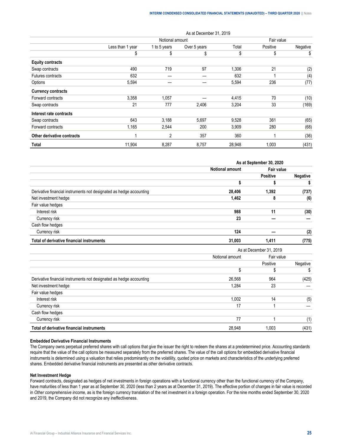|                            | As at December 31, 2019 |                 |              |        |          |            |  |
|----------------------------|-------------------------|-----------------|--------------|--------|----------|------------|--|
|                            |                         | Notional amount |              |        |          | Fair value |  |
|                            | Less than 1 year        | 1 to 5 years    | Over 5 years | Total  | Positive | Negative   |  |
|                            | \$                      | \$              | \$           | \$     | \$       | \$         |  |
| <b>Equity contracts</b>    |                         |                 |              |        |          |            |  |
| Swap contracts             | 490                     | 719             | 97           | 1,306  | 21       | (2)        |  |
| Futures contracts          | 632                     |                 |              | 632    |          | (4)        |  |
| Options                    | 5,594                   |                 |              | 5,594  | 236      | (77)       |  |
| <b>Currency contracts</b>  |                         |                 |              |        |          |            |  |
| Forward contracts          | 3,358                   | 1,057           |              | 4,415  | 70       | (10)       |  |
| Swap contracts             | 21                      | 777             | 2,406        | 3,204  | 33       | (169)      |  |
| Interest rate contracts    |                         |                 |              |        |          |            |  |
| Swap contracts             | 643                     | 3,188           | 5,697        | 9,528  | 361      | (65)       |  |
| Forward contracts          | 1,165                   | 2,544           | 200          | 3,909  | 280      | (68)       |  |
| Other derivative contracts |                         | $\overline{2}$  | 357          | 360    |          | (36)       |  |
| Total                      | 11,904                  | 8,287           | 8,757        | 28,948 | 1,003    | (431)      |  |

|                                                                     | As at September 30, 2020 |                 |                 |  |
|---------------------------------------------------------------------|--------------------------|-----------------|-----------------|--|
|                                                                     | <b>Notional amount</b>   | Fair value      |                 |  |
|                                                                     |                          | <b>Positive</b> | <b>Negative</b> |  |
|                                                                     |                          |                 |                 |  |
| Derivative financial instruments not designated as hedge accounting | 28,406                   | 1.392           | (737)           |  |
| Net investment hedge                                                | 1,462                    | 8               | (6)             |  |
| Fair value hedges                                                   |                          |                 |                 |  |
| Interest risk                                                       | 988                      | 11              | (30)            |  |
| Currency risk                                                       | 23                       |                 |                 |  |
| Cash flow hedges                                                    |                          |                 |                 |  |
| Currency risk                                                       | 124                      |                 | (2)             |  |
| Total of derivative financial instruments                           | 31,003                   | 1,411           | (775)           |  |

|                                                                     | As at December 31, 2019 |            |          |  |
|---------------------------------------------------------------------|-------------------------|------------|----------|--|
|                                                                     | Notional amount         | Fair value |          |  |
|                                                                     |                         | Positive   | Negative |  |
|                                                                     |                         |            |          |  |
| Derivative financial instruments not designated as hedge accounting | 26.568                  | 964        | (425)    |  |
| Net investment hedge                                                | 1.284                   | 23         |          |  |
| Fair value hedges                                                   |                         |            |          |  |
| Interest risk                                                       | 1.002                   | 14         | (5)      |  |
| Currency risk                                                       | 17                      |            |          |  |
| Cash flow hedges                                                    |                         |            |          |  |
| Currency risk                                                       | 77                      |            | (1)      |  |
| Total of derivative financial instruments                           | 28,948                  | 1.003      | (431)    |  |

#### **Embedded Derivative Financial Instruments**

The Company owns perpetual preferred shares with call options that give the issuer the right to redeem the shares at a predetermined price. Accounting standards require that the value of the call options be measured separately from the preferred shares. The value of the call options for embedded derivative financial instruments is determined using a valuation that relies predominantly on the volatility, quoted price on markets and characteristics of the underlying preferred shares. Embedded derivative financial instruments are presented as other derivative contracts.

#### **Net Investment Hedge**

Forward contracts, designated as hedges of net investments in foreign operations with a functional currency other than the functional currency of the Company, have maturities of less than 1 year as at September 30, 2020 (less than 2 years as at December 31, 2019). The effective portion of changes in fair value is recorded in *Other comprehensive income*, as is the foreign currency translation of the net investment in a foreign operation. For the nine months ended September 30, 2020 and 2019, the Company did not recognize any ineffectiveness.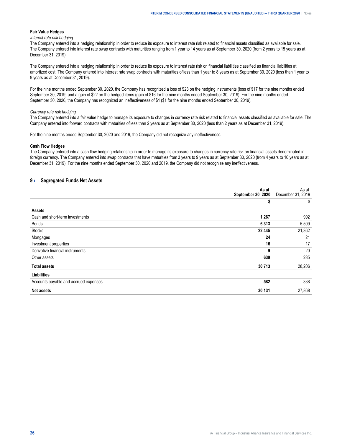#### <span id="page-27-0"></span>**Fair Value Hedges**

#### *Interest rate risk hedging*

The Company entered into a hedging relationship in order to reduce its exposure to interest rate risk related to financial assets classified as available for sale. The Company entered into interest rate swap contracts with maturities ranging from 1 year to 14 years as at September 30, 2020 (from 2 years to 15 years as at December 31, 2019).

The Company entered into a hedging relationship in order to reduce its exposure to interest rate risk on financial liabilities classified as financial liabilities at amortized cost. The Company entered into interest rate swap contracts with maturities of less than 1 year to 8 years as at September 30, 2020 (less than 1 year to 9 years as at December 31, 2019).

For the nine months ended September 30, 2020, the Company has recognized a loss of \$23 on the hedging instruments (loss of \$17 for the nine months ended September 30, 2019) and a gain of \$22 on the hedged items (gain of \$16 for the nine months ended September 30, 2019). For the nine months ended September 30, 2020, the Company has recognized an ineffectiveness of \$1 (\$1 for the nine months ended September 30, 2019).

#### *Currency rate risk hedging*

The Company entered into a fair value hedge to manage its exposure to changes in currency rate risk related to financial assets classified as available for sale. The Company entered into forward contracts with maturities of less than 2 years as at September 30, 2020 (less than 2 years as at December 31, 2019).

For the nine months ended September 30, 2020 and 2019, the Company did not recognize any ineffectiveness.

#### **Cash Flow Hedges**

The Company entered into a cash flow hedging relationship in order to manage its exposure to changes in currency rate risk on financial assets denominated in foreign currency. The Company entered into swap contracts that have maturities from 3 years to 9 years as at September 30, 2020 (from 4 years to 10 years as at December 31, 2019). For the nine months ended September 30, 2020 and 2019, the Company did not recognize any ineffectiveness.

#### **9 › Segregated Funds Net Assets**

|                                       | As at<br>September 30, 2020 | As at<br>December 31, 2019 |
|---------------------------------------|-----------------------------|----------------------------|
|                                       | \$                          | \$                         |
| <b>Assets</b>                         |                             |                            |
| Cash and short-term investments       | 1,267                       | 992                        |
| Bonds                                 | 6,313                       | 5,509                      |
| <b>Stocks</b>                         | 22,445                      | 21,362                     |
| Mortgages                             | 24                          | 21                         |
| Investment properties                 | 16                          | 17                         |
| Derivative financial instruments      | 9                           | 20                         |
| Other assets                          | 639                         | 285                        |
| <b>Total assets</b>                   | 30,713                      | 28,206                     |
| <b>Liabilities</b>                    |                             |                            |
| Accounts payable and accrued expenses | 582                         | 338                        |
| <b>Net assets</b>                     | 30,131                      | 27,868                     |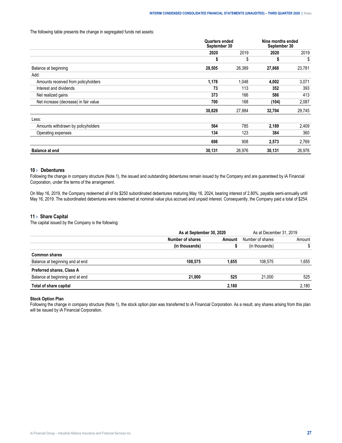#### <span id="page-28-0"></span>The following table presents the change in segregated funds net assets:

|                                       |        | <b>Quarters ended</b><br>September 30 |        | Nine months ended<br>September 30 |  |
|---------------------------------------|--------|---------------------------------------|--------|-----------------------------------|--|
|                                       | 2020   | 2019                                  | 2020   | 2019                              |  |
|                                       | \$     | \$                                    | \$     | \$                                |  |
| Balance at beginning                  | 28,505 | 26,389                                | 27,868 | 23,781                            |  |
| Add:                                  |        |                                       |        |                                   |  |
| Amounts received from policyholders   | 1,178  | 1,048                                 | 4,002  | 3,071                             |  |
| Interest and dividends                | 73     | 113                                   | 352    | 393                               |  |
| Net realized gains                    | 373    | 166                                   | 586    | 413                               |  |
| Net increase (decrease) in fair value | 700    | 168                                   | (104)  | 2,087                             |  |
|                                       | 30,829 | 27,884                                | 32,704 | 29,745                            |  |
| Less:                                 |        |                                       |        |                                   |  |
| Amounts withdrawn by policyholders    | 564    | 785                                   | 2,189  | 2,409                             |  |
| Operating expenses                    | 134    | 123                                   | 384    | 360                               |  |
|                                       | 698    | 908                                   | 2,573  | 2,769                             |  |
| <b>Balance at end</b>                 | 30,131 | 26,976                                | 30,131 | 26,976                            |  |

# **10 › Debentures**

Following the change in company structure (Note 1), the issued and outstanding debentures remain issued by the Company and are guaranteed by iA Financial Corporation, under the terms of the arrangement.

On May 16, 2019, the Company redeemed all of its \$250 subordinated debentures maturing May 16, 2024, bearing interest of 2.80%, payable semi-annually until May 16, 2019. The subordinated debentures were redeemed at nominal value plus accrued and unpaid interest. Consequently, the Company paid a total of \$254.

## **11 › Share Capital**

The capital issued by the Company is the following:

|                                 | As at September 30, 2020 |        | As at December 31, 2019 |        |
|---------------------------------|--------------------------|--------|-------------------------|--------|
|                                 | Number of shares         | ∖m∩unt | Number of shares        | Amount |
|                                 |                          |        | housands                |        |
| Common shares                   |                          |        |                         |        |
| Balance at beginning and at end | 108.575                  | .655   |                         | .655   |
| Preferred shares, Class A       |                          |        |                         |        |
| Balance at beginning and at end | 21.000                   |        | 21 NNN                  | 525    |
| ا of share capital<br>i ota     |                          | 2.180  |                         | 180    |

# **Stock Option Plan**

Following the change in company structure (Note 1), the stock option plan was transferred to iA Financial Corporation. As a result, any shares arising from this plan will be issued by iA Financial Corporation.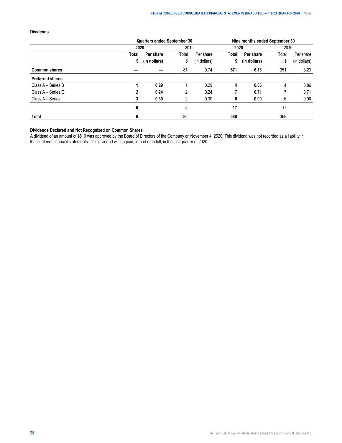# **Dividends**

|                         | Quarters ended September 30 |              |       | Nine months ended September 30 |       |              |       |              |
|-------------------------|-----------------------------|--------------|-------|--------------------------------|-------|--------------|-------|--------------|
|                         | 2020                        |              | 2019  |                                | 2020  |              | 2019  |              |
|                         | Total                       | Per share    | Total | Per share                      | Total | Per share    | Total | Per share    |
|                         |                             | (in dollars) | \$    | (in dollars)                   | \$    | (in dollars) | \$    | (in dollars) |
| <b>Common shares</b>    |                             |              | 81    | 0.74                           | 671   | 6.18         | 351   | 3.23         |
| <b>Preferred shares</b> |                             |              |       |                                |       |              |       |              |
| Class A - Series B      |                             | 0.29         |       | 0.29                           | 4     | 0.86         | 4     | 0.86         |
| Class A - Series G      | 2                           | 0.24         | 2     | 0.24                           |       | 0.71         |       | 0.71         |
| Class A - Series I      | 3                           | 0.30         |       | 0.30                           | 6     | 0.90         | 6     | 0.90         |
|                         | 6                           |              |       |                                | 17    |              | 17    |              |
| <b>Total</b>            | 6                           |              | 86    |                                | 688   |              | 368   |              |

# **Dividends Declared and Not Recognized on Common Shares**

A dividend of an amount of \$510 was approved by the Board of Directors of the Company on November 4, 2020. This dividend was not recorded as a liability in these interim financial statements. This dividend will be paid, in part or in full, in the last quarter of 2020.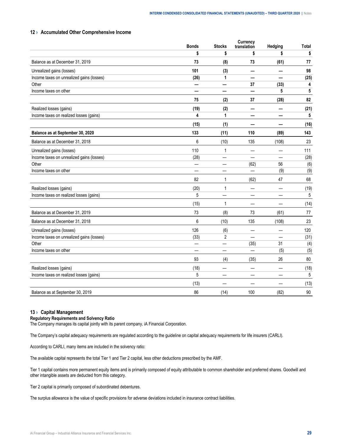# <span id="page-30-0"></span>**12 › Accumulated Other Comprehensive Income**

|                                           | <b>Bonds</b> | <b>Stocks</b>  | <b>Currency</b><br>translation | Hedging | <b>Total</b> |
|-------------------------------------------|--------------|----------------|--------------------------------|---------|--------------|
|                                           | \$           | \$             | \$                             | \$      | \$           |
| Balance as at December 31, 2019           | 73           | (8)            | 73                             | (61)    | 77           |
| Unrealized gains (losses)                 | 101          | (3)            |                                |         | 98           |
| Income taxes on unrealized gains (losses) | (26)         | 1              |                                |         | (25)         |
| Other                                     |              |                | 37                             | (33)    | 4            |
| Income taxes on other                     |              |                |                                | 5       | 5            |
|                                           | 75           | (2)            | 37                             | (28)    | 82           |
| Realized losses (gains)                   | (19)         | (2)            |                                |         | (21)         |
| Income taxes on realized losses (gains)   | 4            | 1              |                                |         | 5            |
|                                           | (15)         | (1)            |                                |         | (16)         |
| Balance as at September 30, 2020          | 133          | (11)           | 110                            | (89)    | 143          |
| Balance as at December 31, 2018           | 6            | (10)           | 135                            | (108)   | 23           |
| Unrealized gains (losses)                 | 110          | $\mathbf{1}$   |                                |         | 111          |
| Income taxes on unrealized gains (losses) | (28)         |                |                                |         | (28)         |
| Other                                     |              | $\sim$         | (62)                           | 56      | (6)          |
| Income taxes on other                     |              | —              | $\overline{\phantom{0}}$       | (9)     | (9)          |
|                                           | 82           | 1              | (62)                           | 47      | 68           |
| Realized losses (gains)                   | (20)         | 1              |                                |         | (19)         |
| Income taxes on realized losses (gains)   | 5            | ÷.             | ÷.                             |         | 5            |
|                                           | (15)         | $\mathbf{1}$   |                                |         | (14)         |
| Balance as at December 31, 2019           | 73           | (8)            | 73                             | (61)    | 77           |
| Balance as at December 31, 2018           | 6            | (10)           | 135                            | (108)   | 23           |
| Unrealized gains (losses)                 | 126          | (6)            |                                |         | 120          |
| Income taxes on unrealized gains (losses) | (33)         | $\overline{2}$ | ▃                              |         | (31)         |
| Other                                     |              |                | (35)                           | 31      | (4)          |
| Income taxes on other                     |              |                |                                | (5)     | (5)          |
|                                           | 93           | (4)            | (35)                           | 26      | 80           |
| Realized losses (gains)                   | (18)         |                |                                |         | (18)         |
| Income taxes on realized losses (gains)   | 5            |                |                                |         | 5            |
|                                           | (13)         |                |                                |         | (13)         |
| Balance as at September 30, 2019          | 86           | (14)           | 100                            | (82)    | 90           |
|                                           |              |                |                                |         |              |

## **13 › Capital Management**

#### **Regulatory Requirements and Solvency Ratio**

The Company manages its capital jointly with its parent company, iA Financial Corporation.

The Company's capital adequacy requirements are regulated according to the guideline on capital adequacy requirements for life insurers (CARLI).

According to CARLI, many items are included in the solvency ratio:

The available capital represents the total Tier 1 and Tier 2 capital, less other deductions prescribed by the AMF.

Tier 1 capital contains more permanent equity items and is primarily composed of equity attributable to common shareholder and preferred shares. Goodwill and other intangible assets are deducted from this category.

Tier 2 capital is primarily composed of subordinated debentures.

The surplus allowance is the value of specific provisions for adverse deviations included in insurance contract liabilities.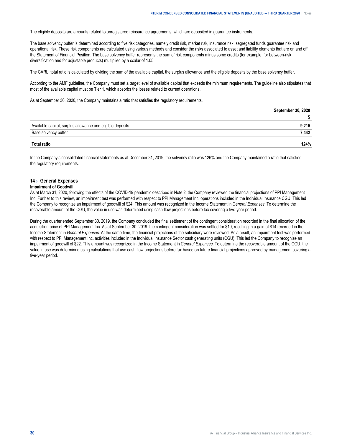<span id="page-31-0"></span>The eligible deposits are amounts related to unregistered reinsurance agreements, which are deposited in guarantee instruments.

The base solvency buffer is determined according to five risk categories, namely credit risk, market risk, insurance risk, segregated funds guarantee risk and operational risk. These risk components are calculated using various methods and consider the risks associated to asset and liability elements that are on and off the Statement of Financial Position. The base solvency buffer represents the sum of risk components minus some credits (for example, for between-risk diversification and for adjustable products) multiplied by a scalar of 1.05.

The CARLI total ratio is calculated by dividing the sum of the available capital, the surplus allowance and the eligible deposits by the base solvency buffer.

According to the AMF guideline, the Company must set a target level of available capital that exceeds the minimum requirements. The guideline also stipulates that most of the available capital must be Tier 1, which absorbs the losses related to current operations.

As at September 30, 2020, the Company maintains a ratio that satisfies the regulatory requirements.

| Available capital, surplus allowance and eligible deposits | 215  |
|------------------------------------------------------------|------|
| buffer                                                     | AA 2 |
|                                                            | 24%  |

In the Company's consolidated financial statements as at December 31, 2019, the solvency ratio was 126% and the Company maintained a ratio that satisfied the regulatory requirements.

#### **14 › General Expenses**

#### **Impairment of Goodwill**

As at March 31, 2020, following the effects of the COVID-19 pandemic described in Note 2, the Company reviewed the financial projections of PPI Management Inc. Further to this review, an impairment test was performed with respect to PPI Management Inc. operations included in the Individual Insurance CGU. This led the Company to recognize an impairment of goodwill of \$24. This amount was recognized in the Income Statement in *General Expenses*. To determine the recoverable amount of the CGU, the value in use was determined using cash flow projections before tax covering a five-year period.

During the quarter ended September 30, 2019, the Company concluded the final settlement of the contingent consideration recorded in the final allocation of the acquisition price of PPI Management Inc. As at September 30, 2019, the contingent consideration was settled for \$10, resulting in a gain of \$14 recorded in the Income Statement in *General Expenses*. At the same time, the financial projections of the subsidiary were reviewed. As a result, an impairment test was performed with respect to PPI Management Inc. activities included in the Individual Insurance Sector cash generating units (CGU). This led the Company to recognize an impairment of goodwill of \$22. This amount was recognized in the Income Statement in *General Expenses*. To determine the recoverable amount of the CGU, the value in use was determined using calculations that use cash flow projections before tax based on future financial projections approved by management covering a five-year period.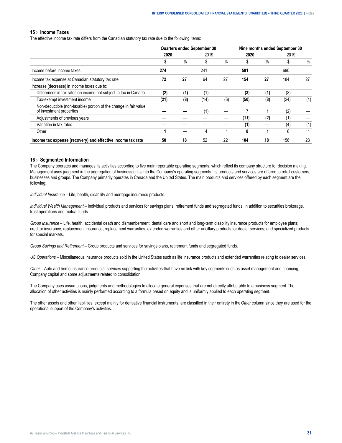#### <span id="page-32-0"></span>**15 › Income Taxes**

The effective income tax rate differs from the Canadian statutory tax rate due to the following items:

|                                                                                              |      |     | <b>Quarters ended September 30</b> | Nine months ended September 30 |      |     |      |      |
|----------------------------------------------------------------------------------------------|------|-----|------------------------------------|--------------------------------|------|-----|------|------|
|                                                                                              | 2020 |     | 2019                               |                                | 2020 |     | 2019 |      |
|                                                                                              |      | %   | \$                                 | $\%$                           |      | %   | \$   | $\%$ |
| Income before income taxes                                                                   | 274  |     | 241                                |                                | 581  |     | 690  |      |
| Income tax expense at Canadian statutory tax rate                                            | 72   | 27  | 64                                 | 27                             | 154  | 27  | 184  | 27   |
| Increase (decrease) in income taxes due to:                                                  |      |     |                                    |                                |      |     |      |      |
| Differences in tax rates on income not subject to tax in Canada                              | (2)  | (1) | (1)                                |                                | (3)  | (1) | (3)  |      |
| Tax-exempt investment income                                                                 | (21) | (8) | (14)                               | (6)                            | (50) | (8) | (24) | (4)  |
| Non-deductible (non-taxable) portion of the change in fair value<br>of investment properties |      |     | (1)                                |                                |      |     | (2)  |      |
| Adjustments of previous years                                                                |      |     |                                    |                                | (11) | (2) | (1)  |      |
| Variation in tax rates                                                                       |      |     |                                    |                                | (1)  |     | (4)  | (1)  |
| Other                                                                                        |      |     | 4                                  |                                | 8    |     | 6    |      |
| Income tax expense (recovery) and effective income tax rate                                  | 50   | 18  | 52                                 | 22                             | 104  | 18  | 156  | 23   |

#### **16 › Segmented Information**

The Company operates and manages its activities according to five main reportable operating segments, which reflect its company structure for decision making. Management uses judgment in the aggregation of business units into the Company's operating segments. Its products and services are offered to retail customers, businesses and groups. The Company primarily operates in Canada and the United States. The main products and services offered by each segment are the following:

*Individual Insurance* – Life, health, disability and mortgage insurance products.

*Individual Wealth Management* – Individual products and services for savings plans, retirement funds and segregated funds, in addition to securities brokerage, trust operations and mutual funds.

*Group Insurance* – Life, health, accidental death and dismemberment, dental care and short and long-term disability insurance products for employee plans; creditor insurance, replacement insurance, replacement warranties, extended warranties and other ancillary products for dealer services; and specialized products for special markets.

*Group Savings and Retirement* – Group products and services for savings plans, retirement funds and segregated funds.

*US Operations* – Miscellaneous insurance products sold in the United States such as life insurance products and extended warranties relating to dealer services.

*Other* – Auto and home insurance products, services supporting the activities that have no link with key segments such as asset management and financing, Company capital and some adjustments related to consolidation.

The Company uses assumptions, judgments and methodologies to allocate general expenses that are not directly attributable to a business segment. The allocation of other activities is mainly performed according to a formula based on equity and is uniformly applied to each operating segment.

The other assets and other liabilities, except mainly for derivative financial instruments, are classified in their entirety in the *Other* column since they are used for the operational support of the Company's activities.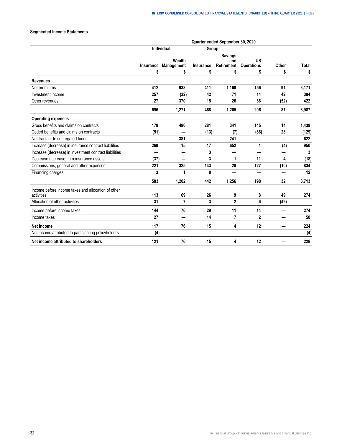# **Segmented Income Statements**

|                                                                  | Quarter ended September 30, 2020 |                      |           |                                     |                         |       |              |  |  |  |
|------------------------------------------------------------------|----------------------------------|----------------------|-----------|-------------------------------------|-------------------------|-------|--------------|--|--|--|
|                                                                  |                                  | Individual           | Group     |                                     |                         |       |              |  |  |  |
|                                                                  | Insurance                        | Wealth<br>Management | Insurance | <b>Savings</b><br>and<br>Retirement | US<br><b>Operations</b> | Other | <b>Total</b> |  |  |  |
|                                                                  | \$                               | \$                   | \$        | \$                                  | \$                      | \$    | \$           |  |  |  |
| <b>Revenues</b>                                                  |                                  |                      |           |                                     |                         |       |              |  |  |  |
| Net premiums                                                     | 412                              | 933                  | 411       | 1,168                               | 156                     | 91    | 3,171        |  |  |  |
| Investment income                                                | 257                              | (32)                 | 42        | 71                                  | 14                      | 42    | 394          |  |  |  |
| Other revenues                                                   | 27                               | 370                  | 15        | 26                                  | 36                      | (52)  | 422          |  |  |  |
|                                                                  | 696                              | 1.271                | 468       | 1,265                               | 206                     | 81    | 3,987        |  |  |  |
| <b>Operating expenses</b>                                        |                                  |                      |           |                                     |                         |       |              |  |  |  |
| Gross benefits and claims on contracts                           | 178                              | 480                  | 281       | 341                                 | 145                     | 14    | 1,439        |  |  |  |
| Ceded benefits and claims on contracts                           | (51)                             |                      | (13)      | (7)                                 | (86)                    | 28    | (129)        |  |  |  |
| Net transfer to segregated funds                                 |                                  | 381                  |           | 241                                 | -                       | -     | 622          |  |  |  |
| Increase (decrease) in insurance contract liabilities            | 269                              | 15                   | 17        | 652                                 | 1                       | (4)   | 950          |  |  |  |
| Increase (decrease) in investment contract liabilities           |                                  |                      | 3         |                                     |                         |       | 3            |  |  |  |
| Decrease (increase) in reinsurance assets                        | (37)                             |                      | 3         | 1                                   | 11                      | 4     | (18)         |  |  |  |
| Commissions, general and other expenses                          | 221                              | 325                  | 143       | 28                                  | 127                     | (10)  | 834          |  |  |  |
| Financing charges                                                | 3                                | 1                    | 8         |                                     | —                       | —     | 12           |  |  |  |
|                                                                  | 583                              | 1.202                | 442       | 1,256                               | 198                     | 32    | 3,713        |  |  |  |
| Income before income taxes and allocation of other<br>activities | 113                              | 69                   | 26        | 9                                   | 8                       | 49    | 274          |  |  |  |
| Allocation of other activities                                   | 31                               | 7                    | 3         | $\overline{2}$                      | 6                       | (49)  |              |  |  |  |
| Income before income taxes                                       | 144                              | 76                   | 29        | 11                                  | 14                      |       | 274          |  |  |  |
| Income taxes                                                     | 27                               | –                    | 14        | 7                                   | $\mathbf{2}$            |       | 50           |  |  |  |
| Net income                                                       | 117                              | 76                   | 15        | 4                                   | 12                      |       | 224          |  |  |  |
| Net income attributed to participating policyholders             | (4)                              | –                    |           |                                     | -                       |       | (4)          |  |  |  |
| Net income attributed to shareholders                            | 121                              | 76                   | 15        | 4                                   | 12                      |       | 228          |  |  |  |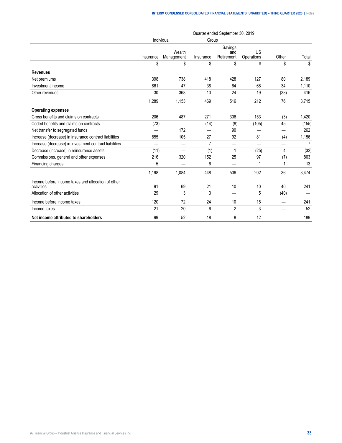|                                                                  | Quarter ended September 30, 2019 |                      |                |                              |                  |       |                |  |  |
|------------------------------------------------------------------|----------------------------------|----------------------|----------------|------------------------------|------------------|-------|----------------|--|--|
|                                                                  |                                  | Individual           | Group          |                              |                  |       |                |  |  |
|                                                                  | Insurance                        | Wealth<br>Management | Insurance      | Savings<br>and<br>Retirement | US<br>Operations | Other | Total          |  |  |
|                                                                  | \$                               | \$                   | \$             | \$                           | \$               | \$    | \$             |  |  |
| <b>Revenues</b>                                                  |                                  |                      |                |                              |                  |       |                |  |  |
| Net premiums                                                     | 398                              | 738                  | 418            | 428                          | 127              | 80    | 2,189          |  |  |
| Investment income                                                | 861                              | 47                   | 38             | 64                           | 66               | 34    | 1,110          |  |  |
| Other revenues                                                   | 30                               | 368                  | 13             | 24                           | 19               | (38)  | 416            |  |  |
|                                                                  | 1,289                            | 1,153                | 469            | 516                          | 212              | 76    | 3,715          |  |  |
| <b>Operating expenses</b>                                        |                                  |                      |                |                              |                  |       |                |  |  |
| Gross benefits and claims on contracts                           | 206                              | 487                  | 271            | 306                          | 153              | (3)   | 1,420          |  |  |
| Ceded benefits and claims on contracts                           | (73)                             | -                    | (14)           | (8)                          | (105)            | 45    | (155)          |  |  |
| Net transfer to segregated funds                                 |                                  | 172                  |                | 90                           |                  |       | 262            |  |  |
| Increase (decrease) in insurance contract liabilities            | 855                              | 105                  | 27             | 92                           | 81               | (4)   | 1,156          |  |  |
| Increase (decrease) in investment contract liabilities           |                                  |                      | $\overline{7}$ |                              |                  |       | $\overline{7}$ |  |  |
| Decrease (increase) in reinsurance assets                        | (11)                             |                      | (1)            | 1                            | (25)             | 4     | (32)           |  |  |
| Commissions, general and other expenses                          | 216                              | 320                  | 152            | 25                           | 97               | (7)   | 803            |  |  |
| Financing charges                                                | 5                                |                      | 6              |                              |                  |       | 13             |  |  |
|                                                                  | 1,198                            | 1,084                | 448            | 506                          | 202              | 36    | 3,474          |  |  |
| Income before income taxes and allocation of other<br>activities | 91                               | 69                   | 21             | 10                           | 10               | 40    | 241            |  |  |
| Allocation of other activities                                   | 29                               | 3                    | 3              | –                            | 5                | (40)  |                |  |  |
| Income before income taxes                                       | 120                              | 72                   | 24             | 10                           | 15               |       | 241            |  |  |
| Income taxes                                                     | 21                               | 20                   | 6              | $\overline{2}$               | 3                |       | 52             |  |  |
| Net income attributed to shareholders                            | 99                               | 52                   | 18             | 8                            | 12               |       | 189            |  |  |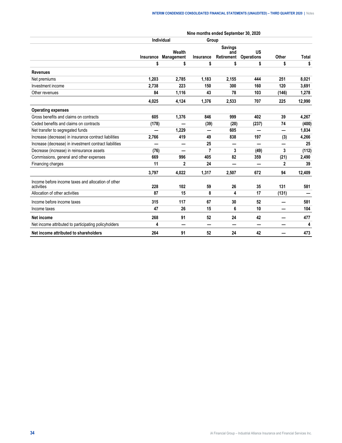|                                                                  |           |                      |                  | Nine months ended September 30, 2020 |                         |       |        |
|------------------------------------------------------------------|-----------|----------------------|------------------|--------------------------------------|-------------------------|-------|--------|
|                                                                  |           | <b>Individual</b>    |                  | Group                                |                         |       |        |
|                                                                  | Insurance | Wealth<br>Management | <b>Insurance</b> | <b>Savings</b><br>and<br>Retirement  | US<br><b>Operations</b> | Other | Total  |
|                                                                  | \$        | \$                   | \$               | \$                                   | \$                      | \$    | \$     |
| <b>Revenues</b>                                                  |           |                      |                  |                                      |                         |       |        |
| Net premiums                                                     | 1,203     | 2,785                | 1,183            | 2,155                                | 444                     | 251   | 8,021  |
| Investment income                                                | 2,738     | 223                  | 150              | 300                                  | 160                     | 120   | 3,691  |
| Other revenues                                                   | 84        | 1,116                | 43               | 78                                   | 103                     | (146) | 1,278  |
|                                                                  | 4,025     | 4.124                | 1,376            | 2,533                                | 707                     | 225   | 12,990 |
| <b>Operating expenses</b>                                        |           |                      |                  |                                      |                         |       |        |
| Gross benefits and claims on contracts                           | 605       | 1,376                | 846              | 999                                  | 402                     | 39    | 4,267  |
| Ceded benefits and claims on contracts                           | (178)     | —<br>—               | (39)             | (20)                                 | (237)                   | 74    | (400)  |
| Net transfer to segregated funds                                 |           | 1,229                |                  | 605                                  |                         |       | 1,834  |
| Increase (decrease) in insurance contract liabilities            | 2,766     | 419                  | 49               | 838                                  | 197                     | (3)   | 4,266  |
| Increase (decrease) in investment contract liabilities           |           |                      | 25               |                                      | —                       |       | 25     |
| Decrease (increase) in reinsurance assets                        | (76)      |                      | 7                | 3                                    | (49)                    | 3     | (112)  |
| Commissions, general and other expenses                          | 669       | 996                  | 405              | 82                                   | 359                     | (21)  | 2,490  |
| Financing charges                                                | 11        | 2                    | 24               |                                      |                         | 2     | 39     |
|                                                                  | 3,797     | 4,022                | 1,317            | 2,507                                | 672                     | 94    | 12,409 |
| Income before income taxes and allocation of other<br>activities | 228       | 102                  | 59               | 26                                   | 35                      | 131   | 581    |
| Allocation of other activities                                   | 87        | 15                   | 8                | 4                                    | 17                      | (131) |        |
| Income before income taxes                                       | 315       | 117                  | 67               | 30                                   | 52                      |       | 581    |
| Income taxes                                                     | 47        | 26                   | 15               | 6                                    | 10                      | —     | 104    |
| Net income                                                       | 268       | 91                   | 52               | 24                                   | 42                      |       | 477    |
| Net income attributed to participating policyholders             | 4         |                      |                  |                                      |                         |       | 4      |
| Net income attributed to shareholders                            | 264       | 91                   | 52               | 24                                   | 42                      |       | 473    |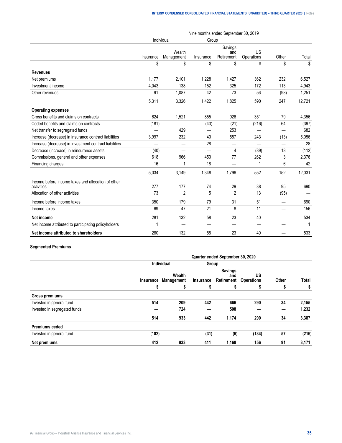|                                                                  |           | Individual           |                          | Group                        |                          |                          |        |
|------------------------------------------------------------------|-----------|----------------------|--------------------------|------------------------------|--------------------------|--------------------------|--------|
|                                                                  | Insurance | Wealth<br>Management | Insurance                | Savings<br>and<br>Retirement | US<br>Operations         | Other                    | Total  |
|                                                                  | \$        | \$                   | \$                       | \$                           | \$                       | \$                       | \$     |
| <b>Revenues</b>                                                  |           |                      |                          |                              |                          |                          |        |
| Net premiums                                                     | 1.177     | 2.101                | 1,228                    | 1,427                        | 362                      | 232                      | 6,527  |
| Investment income                                                | 4,043     | 138                  | 152                      | 325                          | 172                      | 113                      | 4,943  |
| Other revenues                                                   | 91        | 1,087                | 42                       | 73                           | 56                       | (98)                     | 1,251  |
|                                                                  | 5,311     | 3,326                | 1,422                    | 1,825                        | 590                      | 247                      | 12,721 |
| <b>Operating expenses</b>                                        |           |                      |                          |                              |                          |                          |        |
| Gross benefits and claims on contracts                           | 624       | 1,521                | 855                      | 926                          | 351                      | 79                       | 4,356  |
| Ceded benefits and claims on contracts                           | (181)     |                      | (43)                     | (21)                         | (216)                    | 64                       | (397)  |
| Net transfer to segregated funds                                 |           | 429                  | ÷,                       | 253                          | $\overline{\phantom{0}}$ | $\overline{\phantom{0}}$ | 682    |
| Increase (decrease) in insurance contract liabilities            | 3,997     | 232                  | 40                       | 557                          | 243                      | (13)                     | 5,056  |
| Increase (decrease) in investment contract liabilities           |           | —                    | 28                       |                              | —                        |                          | 28     |
| Decrease (increase) in reinsurance assets                        | (40)      |                      |                          | 4                            | (89)                     | 13                       | (112)  |
| Commissions, general and other expenses                          | 618       | 966                  | 450                      | 77                           | 262                      | 3                        | 2,376  |
| Financing charges                                                | 16        |                      | 18                       |                              | 1                        | 6                        | 42     |
|                                                                  | 5,034     | 3,149                | 1,348                    | 1,796                        | 552                      | 152                      | 12,031 |
| Income before income taxes and allocation of other<br>activities | 277       | 177                  | 74                       | 29                           | 38                       | 95                       | 690    |
| Allocation of other activities                                   | 73        | $\overline{2}$       | 5                        | $\overline{2}$               | 13                       | (95)                     |        |
| Income before income taxes                                       | 350       | 179                  | 79                       | 31                           | 51                       | —                        | 690    |
| Income taxes                                                     | 69        | 47                   | 21                       | 8                            | 11                       |                          | 156    |
| <b>Net income</b>                                                | 281       | 132                  | 58                       | 23                           | 40                       |                          | 534    |
| Net income attributed to participating policyholders             | 1         |                      | $\overline{\phantom{0}}$ |                              | —                        |                          | 1      |
| Net income attributed to shareholders                            | 280       | 132                  | 58                       | 23                           | 40                       |                          | 533    |

# **Segmented Premiums**

|                              | Quarter ended September 30, 2020 |                                |           |                                     |                         |       |       |  |  |
|------------------------------|----------------------------------|--------------------------------|-----------|-------------------------------------|-------------------------|-------|-------|--|--|
|                              |                                  | <b>Individual</b>              | Group     |                                     |                         |       |       |  |  |
|                              |                                  | Wealth<br>Insurance Management | Insurance | <b>Savings</b><br>and<br>Retirement | US<br><b>Operations</b> | Other | Total |  |  |
|                              | S                                | \$                             | \$        | \$                                  |                         | \$    | \$    |  |  |
| <b>Gross premiums</b>        |                                  |                                |           |                                     |                         |       |       |  |  |
| Invested in general fund     | 514                              | 209                            | 442       | 666                                 | 290                     | 34    | 2,155 |  |  |
| Invested in segregated funds |                                  | 724                            |           | 508                                 |                         |       | 1,232 |  |  |
|                              | 514                              | 933                            | 442       | 1,174                               | 290                     | 34    | 3,387 |  |  |
| <b>Premiums ceded</b>        |                                  |                                |           |                                     |                         |       |       |  |  |
| Invested in general fund     | (102)                            |                                | (31)      | (6)                                 | (134)                   | 57    | (216) |  |  |
| Net premiums                 | 412                              | 933                            | 411       | 1,168                               | 156                     | 91    | 3,171 |  |  |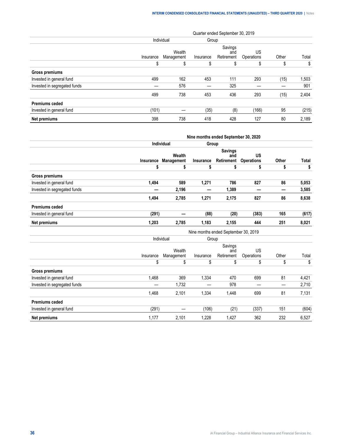\$ \$ \$ \$ \$ \$ \$

1,468 2,101 1,334 1,448 699 81 7,131

|                              | Quarter ended September 30, 2019 |                      |           |                              |                  |       |       |  |  |  |
|------------------------------|----------------------------------|----------------------|-----------|------------------------------|------------------|-------|-------|--|--|--|
|                              |                                  | Individual           | Group     |                              |                  |       |       |  |  |  |
|                              | Insurance                        | Wealth<br>Management | Insurance | Savings<br>and<br>Retirement | US<br>Operations | Other | Total |  |  |  |
|                              | S                                | \$                   | S         | \$                           |                  | S     | \$    |  |  |  |
| Gross premiums               |                                  |                      |           |                              |                  |       |       |  |  |  |
| Invested in general fund     | 499                              | 162                  | 453       | 111                          | 293              | (15)  | 1,503 |  |  |  |
| Invested in segregated funds |                                  | 576                  |           | 325                          |                  |       | 901   |  |  |  |
|                              | 499                              | 738                  | 453       | 436                          | 293              | (15)  | 2,404 |  |  |  |
| <b>Premiums ceded</b>        |                                  |                      |           |                              |                  |       |       |  |  |  |
| Invested in general fund     | (101)                            |                      | (35)      | (8)                          | (166)            | 95    | (215) |  |  |  |
| Net premiums                 | 398                              | 738                  | 418       | 428                          | 127              | 80    | 2,189 |  |  |  |

|                              |           | Nine months ended September 30, 2020 |           |                                     |                                |       |       |  |
|------------------------------|-----------|--------------------------------------|-----------|-------------------------------------|--------------------------------|-------|-------|--|
|                              |           | <b>Individual</b>                    |           | Group                               |                                |       |       |  |
|                              | Insurance | Wealth<br>Management                 | Insurance | <b>Savings</b><br>and<br>Retirement | <b>US</b><br><b>Operations</b> | Other | Total |  |
|                              | \$        | \$                                   | \$        | \$                                  | \$                             | \$    | \$    |  |
| Gross premiums               |           |                                      |           |                                     |                                |       |       |  |
| Invested in general fund     | 1,494     | 589                                  | 1,271     | 786                                 | 827                            | 86    | 5,053 |  |
| Invested in segregated funds |           | 2,196                                | —         | 1,389                               | –                              | –     | 3,585 |  |
|                              | 1,494     | 2,785                                | 1,271     | 2,175                               | 827                            | 86    | 8,638 |  |
| <b>Premiums ceded</b>        |           |                                      |           |                                     |                                |       |       |  |
| Invested in general fund     | (291)     |                                      | (88)      | (20)                                | (383)                          | 165   | (617) |  |
| Net premiums                 | 1,203     | 2,785                                | 1,183     | 2,155                               | 444                            | 251   | 8,021 |  |
|                              |           | Nine months ended September 30, 2019 |           |                                     |                                |       |       |  |
|                              |           | Individual                           | Group     |                                     |                                |       |       |  |
|                              | Insurance | Wealth<br>Management                 | Insurance | Savings<br>and<br>Retirement        | US<br>Operations               | Other | Total |  |

Invested in general fund 1,468 369 1,334 470 699 81 4,421 Invested in segregated funds — 1,732 — 978 — — 2,710

Invested in general fund (291) — (106) (21) (337) 151 (604) **Net premiums** 1,177 2,101 1,228 1,427 362 232 6,527

| 36 | iA Financial Group – Industrial Alliance Insurance and Financial Services Inc. |
|----|--------------------------------------------------------------------------------|
|----|--------------------------------------------------------------------------------|

**Gross premiums**

**Premiums ceded**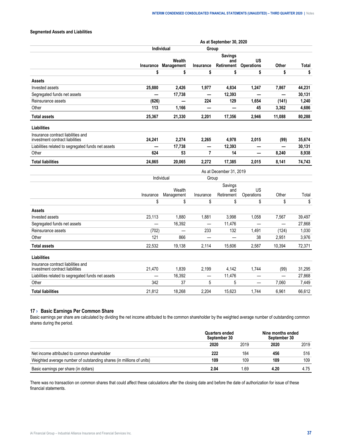## <span id="page-38-0"></span>**Segmented Assets and Liabilities**

|                                                                       | As at September 30, 2020 |                      |                          |                                     |                                |                          |              |  |
|-----------------------------------------------------------------------|--------------------------|----------------------|--------------------------|-------------------------------------|--------------------------------|--------------------------|--------------|--|
|                                                                       |                          | <b>Individual</b>    | Group                    |                                     |                                |                          |              |  |
|                                                                       | <b>Insurance</b>         | Wealth<br>Management | <b>Insurance</b>         | <b>Savings</b><br>and<br>Retirement | <b>US</b><br><b>Operations</b> | Other                    | <b>Total</b> |  |
|                                                                       | \$                       | \$                   | \$                       | \$                                  | \$                             | \$                       | \$           |  |
| <b>Assets</b>                                                         |                          |                      |                          |                                     |                                |                          |              |  |
| Invested assets                                                       | 25,880                   | 2,426                | 1,977                    | 4,834                               | 1,247                          | 7,867                    | 44,231       |  |
| Segregated funds net assets                                           |                          | 17,738               |                          | 12,393                              |                                |                          | 30,131       |  |
| Reinsurance assets                                                    | (626)                    |                      | 224                      | 129                                 | 1,654                          | (141)                    | 1,240        |  |
| Other                                                                 | 113                      | 1,166                |                          |                                     | 45                             | 3,362                    | 4,686        |  |
| <b>Total assets</b>                                                   | 25,367                   | 21,330               | 2,201                    | 17,356                              | 2,946                          | 11,088                   | 80,288       |  |
| Liabilities                                                           |                          |                      |                          |                                     |                                |                          |              |  |
| Insurance contract liabilities and<br>investment contract liabilities | 24,241                   | 2,274                | 2,265                    | 4,978                               | 2,015                          | (99)                     | 35,674       |  |
| Liabilities related to segregated funds net assets                    | $\overline{\phantom{0}}$ | 17,738               | $\overline{\phantom{0}}$ | 12,393                              | —                              | $\overline{\phantom{0}}$ | 30,131       |  |
| Other                                                                 | 624                      | 53                   | $\overline{7}$           | 14                                  | $\overline{\phantom{0}}$       | 8,240                    | 8,938        |  |
| <b>Total liabilities</b>                                              | 24,865                   | 20,065               | 2,272                    | 17,385                              | 2,015                          | 8,141                    | 74,743       |  |
|                                                                       | As at December 31, 2019  |                      |                          |                                     |                                |                          |              |  |
|                                                                       |                          | Individual           | Group                    |                                     |                                |                          |              |  |
|                                                                       |                          | Wealth               |                          | Savings<br>and                      | US                             | Other                    |              |  |
|                                                                       | Insurance<br>\$          | Management<br>\$     | Insurance<br>\$          | Retirement<br>\$                    | Operations<br>\$               | \$                       | Total<br>\$  |  |
| <b>Assets</b>                                                         |                          |                      |                          |                                     |                                |                          |              |  |
| Invested assets                                                       | 23,113                   | 1,880                | 1,881                    | 3,998                               | 1,058                          | 7,567                    | 39,497       |  |
| Segregated funds net assets                                           | $\equiv$                 | 16,392               | $\overline{\phantom{0}}$ | 11,476                              | $\overline{\phantom{0}}$       | $\overline{\phantom{0}}$ | 27,868       |  |
| Reinsurance assets                                                    | (702)                    |                      | 233                      | 132                                 | 1,491                          | (124)                    | 1,030        |  |
| Other                                                                 | 121                      | 866                  | $\equiv$                 | $\equiv$                            | 38                             | 2,951                    | 3,976        |  |
| <b>Total assets</b>                                                   | 22,532                   | 19,138               | 2,114                    | 15,606                              | 2,587                          | 10,394                   | 72,371       |  |
| <b>Liabilities</b>                                                    |                          |                      |                          |                                     |                                |                          |              |  |
| Insurance contract liabilities and<br>investment contract liabilities | 21,470                   | 1,839                | 2,199                    | 4,142                               | 1,744                          | (99)                     | 31,295       |  |
| Liabilities related to segregated funds net assets                    |                          | 16,392               | —                        | 11,476                              |                                |                          | 27,868       |  |
| Other                                                                 | 342                      | 37                   | 5                        | 5                                   |                                | 7,060                    | 7,449        |  |
|                                                                       |                          |                      |                          |                                     |                                |                          |              |  |

## **17 › Basic Earnings Per Common Share**

Basic earnings per share are calculated by dividing the net income attributed to the common shareholder by the weighted average number of outstanding common shares during the period.

**Total liabilities** 21,812 18,268 2,204 15,623 1,744 6,961 66,612

|                                |  |  | 1000<br>o٥ |  |
|--------------------------------|--|--|------------|--|
|                                |  |  |            |  |
| חחוור<br>r:nm<br>noiaer<br>шюп |  |  |            |  |
| аı<br>בס ומו                   |  |  | 109        |  |
|                                |  |  |            |  |

There was no transaction on common shares that could affect these calculations after the closing date and before the date of authorization for issue of these financial statements.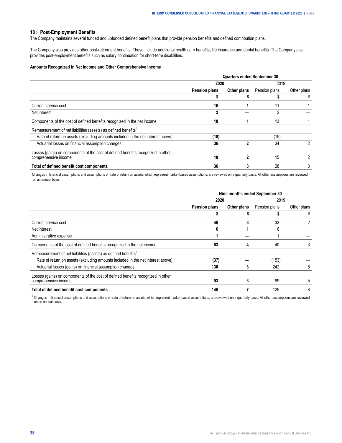#### <span id="page-39-0"></span>**18 › Post-Employment Benefits**

The Company maintains several funded and unfunded defined benefit plans that provide pension benefits and defined contribution plans.

The Company also provides other post-retirement benefits. These include additional health care benefits, life insurance and dental benefits. The Company also provides post-employment benefits such as salary continuation for short-term disabilities.

#### **Amounts Recognized in Net Income and Other Comprehensive Income**

|                                                                                  | <b>Quarters ended September 30</b> |             |               |             |
|----------------------------------------------------------------------------------|------------------------------------|-------------|---------------|-------------|
|                                                                                  | 2020                               |             | 2019          |             |
|                                                                                  | <b>Pension plans</b>               | Other plans | Pension plans | Other plans |
|                                                                                  |                                    |             |               |             |
| Current service cost                                                             | 16                                 |             | 11            |             |
| Net interest                                                                     |                                    |             |               |             |
| Components of the cost of defined benefits recognized in the net income          | 18                                 |             | 13            |             |
| Remeasurement of net liabilities (assets) as defined benefits <sup>1</sup>       |                                    |             |               |             |
| Rate of return on assets (excluding amounts included in the net interest above)  | (18)                               |             | (19)          |             |
| Actuarial losses on financial assumption changes                                 | 36                                 |             | 34            |             |
| Losses (gains) on components of the cost of defined benefits recognized in other |                                    |             |               |             |
| comprehensive income                                                             | 18                                 |             | 15            |             |
| Total of defined benefit cost components                                         | 36                                 |             | 28            |             |

<sup>1</sup> Changes in financial assumptions and assumptions on rate of return on assets, which represent market-based assumptions, are reviewed on a quarterly basis. All other assumptions are reviewed on an annual basis.

|                                                                                                          | Nine months ended September 30 |             |               |             |
|----------------------------------------------------------------------------------------------------------|--------------------------------|-------------|---------------|-------------|
|                                                                                                          | 2020                           |             | 2019          |             |
|                                                                                                          | <b>Pension plans</b>           | Other plans | Pension plans | Other plans |
|                                                                                                          |                                |             |               |             |
| Current service cost                                                                                     | 46                             |             | 33            |             |
| Net interest                                                                                             | 6                              |             | 6             |             |
| Administrative expense                                                                                   |                                |             |               |             |
| Components of the cost of defined benefits recognized in the net income                                  | 53                             |             | 40            |             |
| Remeasurement of net liabilities (assets) as defined benefits <sup>1</sup>                               |                                |             |               |             |
| Rate of return on assets (excluding amounts included in the net interest above)                          | (37)                           |             | (153)         |             |
| Actuarial losses (gains) on financial assumption changes                                                 | 130                            |             | 242           | 5           |
| Losses (gains) on components of the cost of defined benefits recognized in other<br>comprehensive income | 93                             |             | 89            | 5           |
| Total of defined benefit cost components                                                                 | 146                            |             | 129           |             |

 $1$  Changes in financial assumptions and assumptions on rate of return on assets, which represent market-based assumptions, are reviewed on a quarterly basis. All other assumptions are reviewed on an annual basis.